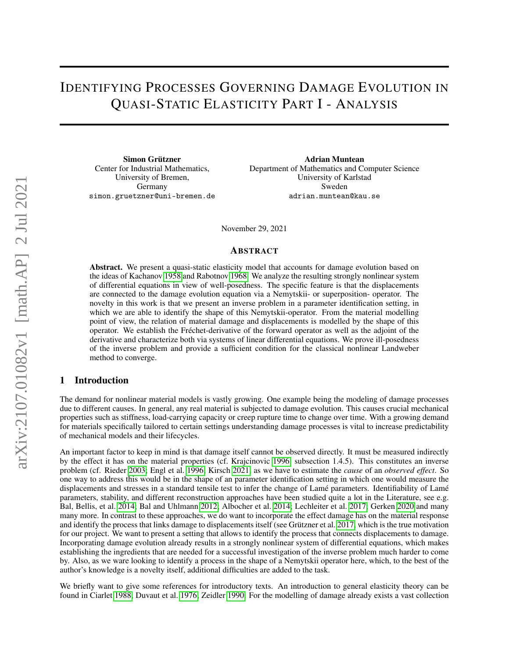# <span id="page-0-0"></span>IDENTIFYING PROCESSES GOVERNING DAMAGE EVOLUTION IN QUASI-STATIC ELASTICITY PART I - ANALYSIS

Simon Grützner Center for Industrial Mathematics, University of Bremen, Germany simon.gruetzner@uni-bremen.de

Adrian Muntean Department of Mathematics and Computer Science University of Karlstad Sweden adrian.muntean@kau.se

November 29, 2021

## ABSTRACT

Abstract. We present a quasi-static elasticity model that accounts for damage evolution based on the ideas of Kachanov [1958](#page-19-0) and Rabotnov [1968.](#page-19-1) We analyze the resulting strongly nonlinear system of differential equations in view of well-posedness. The specific feature is that the displacements are connected to the damage evolution equation via a Nemytskii- or superposition- operator. The novelty in this work is that we present an inverse problem in a parameter identification setting, in which we are able to identify the shape of this Nemytskii-operator. From the material modelling point of view, the relation of material damage and displacements is modelled by the shape of this operator. We establish the Fréchet-derivative of the forward operator as well as the adjoint of the derivative and characterize both via systems of linear differential equations. We prove ill-posedness of the inverse problem and provide a sufficient condition for the classical nonlinear Landweber method to converge.

## 1 Introduction

The demand for nonlinear material models is vastly growing. One example being the modeling of damage processes due to different causes. In general, any real material is subjected to damage evolution. This causes crucial mechanical properties such as stiffness, load-carrying capacity or creep rupture time to change over time. With a growing demand for materials specifically tailored to certain settings understanding damage processes is vital to increase predictability of mechanical models and their lifecycles.

An important factor to keep in mind is that damage itself cannot be observed directly. It must be measured indirectly by the effect it has on the material properties (cf. Krajcinovic [1996,](#page-19-2) subsection 1.4.5). This constitutes an inverse problem (cf. Rieder [2003;](#page-19-3) Engl et al. [1996;](#page-18-0) Kirsch [2021,](#page-19-4) as we have to estimate the *cause* of an *observed effect*. So one way to address this would be in the shape of an parameter identification setting in which one would measure the displacements and stresses in a standard tensile test to infer the change of Lamé parameters. Identifiability of Lamé parameters, stability, and different reconstruction approaches have been studied quite a lot in the Literature, see e.g. Bal, Bellis, et al. [2014;](#page-18-1) Bal and Uhlmann [2012;](#page-18-2) Albocher et al. [2014;](#page-18-3) Lechleiter et al. [2017;](#page-19-5) Gerken [2020](#page-18-4) and many many more. In contrast to these approaches, we do want to incorporate the effect damage has on the material response and identify the process that links damage to displacements itself (see Grützner et al. [2017,](#page-18-5) which is the true motivation for our project. We want to present a setting that allows to identify the process that connects displacements to damage. Incorporating damage evolution already results in a strongly nonlinear system of differential equations, which makes establishing the ingredients that are needed for a successful investigation of the inverse problem much harder to come by. Also, as we ware looking to identify a process in the shape of a Nemytskii operator here, which, to the best of the author's knowledge is a novelty itself, additional difficulties are added to the task.

We briefly want to give some references for introductory texts. An introduction to general elasticity theory can be found in Ciarlet [1988;](#page-18-6) Duvaut et al. [1976;](#page-18-7) Zeidler [1990.](#page-19-6) For the modelling of damage already exists a vast collection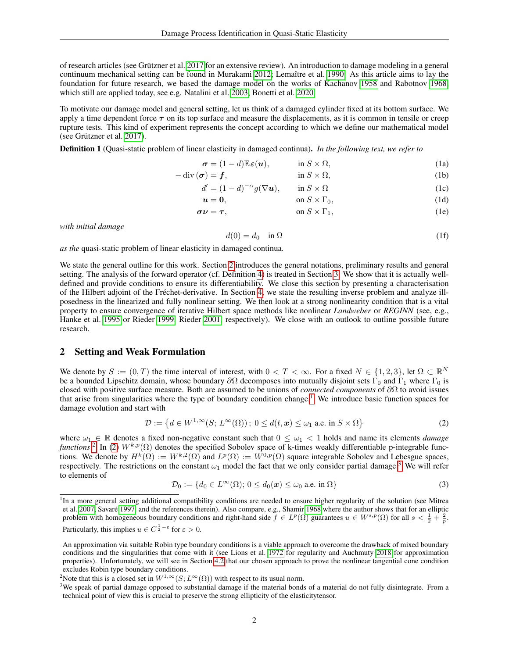of research articles (see Grützner et al. [2017](#page-18-5) for an extensive review). An introduction to damage modeling in a general continuum mechanical setting can be found in Murakami [2012;](#page-19-7) Lemaître et al. [1990.](#page-19-8) As this article aims to lay the foundation for future research, we based the damage model on the works of Kachanov [1958](#page-19-0) and Rabotnov [1968,](#page-19-1) which still are applied today, see e.g. Natalini et al. [2003;](#page-19-9) Bonetti et al. [2020.](#page-18-8)

To motivate our damage model and general setting, let us think of a damaged cylinder fixed at its bottom surface. We apply a time dependent force  $\tau$  on its top surface and measure the displacements, as it is common in tensile or creep rupture tests. This kind of experiment represents the concept according to which we define our mathematical model (see Grützner et al. [2017\)](#page-18-5).

Definition 1 (Quasi-static problem of linear elasticity in damaged continua). *In the following text, we refer to*

$$
\boldsymbol{\sigma} = (1-d)\mathbb{E}\boldsymbol{\varepsilon}(\boldsymbol{u}), \qquad \text{in } S \times \Omega,
$$
 (1a)

$$
-\operatorname{div}(\boldsymbol{\sigma}) = \boldsymbol{f}, \qquad \qquad \text{in } S \times \Omega,
$$
 (1b)

$$
d' = (1 - d)^{-\alpha} g(\nabla u), \qquad \text{in } S \times \Omega
$$
 (1c)

u = 0, on S × Γ0, (1d)

$$
\sigma \nu = \tau, \qquad \text{on } S \times \Gamma_1, \tag{1e}
$$

*with initial damage*

$$
d(0) = d_0 \quad \text{in } \Omega \tag{1f}
$$

*as the* quasi-static problem of linear elasticity in damaged continua*.*

We state the general outline for this work. Section [2](#page-1-0) introduces the general notations, preliminary results and general setting. The analysis of the forward operator (cf. Definition [4\)](#page-3-0) is treated in Section [3.](#page-4-0) We show that it is actually welldefined and provide conditions to ensure its differentiability. We close this section by presenting a characterisation of the Hilbert adjoint of the Fréchet-derivative. In Section [4,](#page-15-0) we state the resulting inverse problem and analyze illposedness in the linearized and fully nonlinear setting. We then look at a strong nonlinearity condition that is a vital property to ensure convergence of iterative Hilbert space methods like nonlinear *Landweber* or *REGINN* (see, e.g., Hanke et al. [1995](#page-18-9) or Rieder [1999,](#page-19-10) Rieder [2001,](#page-19-11) respectively). We close with an outlook to outline possible future research.

## <span id="page-1-0"></span>2 Setting and Weak Formulation

We denote by  $S := (0, T)$  the time interval of interest, with  $0 < T < \infty$ . For a fixed  $N \in \{1, 2, 3\}$ , let  $\Omega \subset \mathbb{R}^N$ . be a bounded Lipschitz domain, whose boundary  $\partial\Omega$  decomposes into mutually disjoint sets  $\Gamma_0$  and  $\Gamma_1$  where  $\Gamma_0$  is closed with positive surface measure. Both are assumed to be unions of *connected components* of ∂Ω to avoid issues that arise from singularities where the type of boundary condition change.<sup>[1](#page-0-0)</sup> We introduce basic function spaces for damage evolution and start with

<span id="page-1-1"></span>
$$
\mathcal{D} := \left\{ d \in W^{1,\infty}(S; L^{\infty}(\Omega)) \, ; \, 0 \le d(t, x) \le \omega_1 \text{ a.e. in } S \times \Omega \right\}
$$
 (2)

where  $\omega_1 \in \mathbb{R}$  denotes a fixed non-negative constant such that  $0 \leq \omega_1 < 1$  holds and name its elements *damage*  $\int$ *functions*.<sup>[2](#page-0-0)</sup> In [\(2\)](#page-1-1)  $W^{k,p}(\Omega)$  denotes the specified Sobolev space of k-times weakly differentiable p-integrable functions. We denote by  $H^k(\Omega) := W^{k,2}(\Omega)$  and  $L^p(\Omega) := W^{0,p}(\Omega)$  square integrable Sobolev and Lebesgue spaces, respectively. The restrictions on the constant  $\omega_1$  model the fact that we only consider partial damage.<sup>[3](#page-0-0)</sup> We will refer to elements of

$$
\mathcal{D}_0 := \{ d_0 \in L^{\infty}(\Omega) ; 0 \le d_0(\boldsymbol{x}) \le \omega_0 \text{ a.e. in } \Omega \}
$$
\n
$$
(3)
$$

Particularly, this implies  $u \in C^{\frac{1}{2} - \varepsilon}$  for  $\varepsilon > 0$ .

<span id="page-1-2"></span><sup>&</sup>lt;sup>1</sup>In a more general setting additional compatibility conditions are needed to ensure higher regularity of the solution (see Mitrea et al. [2007,](#page-19-12) Savaré [1997,](#page-19-13) and the references therein). Also compare, e.g., Shamir [1968](#page-19-14) where the author shows that for an elliptic problem with homogeneous boundary conditions and right-hand side  $f \in L^p(\Omega)$  guarantees  $u \in W^{s,p}(\Omega)$  for all  $s < \frac{1}{2} + \frac{2}{p}$ .

An approximation via suitable Robin type boundary conditions is a viable approach to overcome the drawback of mixed boundary conditions and the singularities that come with it (see Lions et al. [1972](#page-19-15) for regularity and Auchmuty [2018](#page-18-10) for approximation properties). Unfortunately, we will see in Section [4.2](#page-16-0) that our chosen approach to prove the nonlinear tangential cone condition excludes Robin type boundary conditions.

<sup>&</sup>lt;sup>2</sup>Note that this is a closed set in  $W^{1,\infty}(S;L^{\infty}(\Omega))$  with respect to its usual norm.

 $3$ We speak of partial damage opposed to substantial damage if the material bonds of a material do not fully disintegrate. From a technical point of view this is crucial to preserve the strong ellipticity of the elasticitytensor.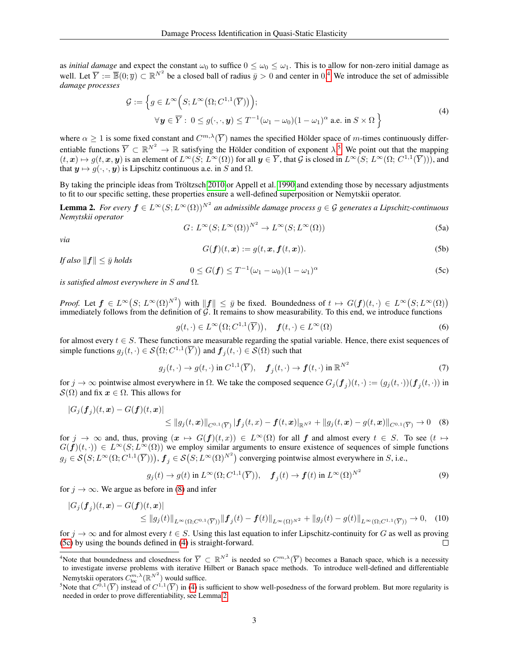as *initial damage* and expect the constant  $\omega_0$  to suffice  $0 \leq \omega_0 \leq \omega_1$ . This is to allow for non-zero initial damage as well. Let  $\overline{Y} := \overline{\mathbb{B}}(0; \overline{y}) \subset \mathbb{R}^{N^2}$  be a closed ball of radius  $\overline{y} > 0$  and center in 0.<sup>[4](#page-0-0)</sup> We introduce the set of admissible *damage processes*

<span id="page-2-1"></span>
$$
\mathcal{G} := \left\{ g \in L^{\infty}\left( S; L^{\infty}\left( \Omega; C^{1,1}(\overline{Y}) \right) \right); \right\}
$$
  
 
$$
\forall \mathbf{y} \in \overline{Y} : 0 \le g(\cdot, \cdot, \mathbf{y}) \le T^{-1}(\omega_1 - \omega_0)(1 - \omega_1)^{\alpha} \text{ a.e. in } S \times \Omega \right\}
$$
 (4)

where  $\alpha \geq 1$  is some fixed constant and  $C^{m,\lambda}(\overline{Y})$  names the specified Hölder space of m-times continuously differentiable functions  $\overline{Y} \subset \mathbb{R}^{N^2} \to \mathbb{R}$  satisfying the Hölder condition of exponent  $\lambda$ .<sup>[5](#page-0-0)</sup> We point out that the mapping  $(t, x) \mapsto g(t, x, y)$  is an element of  $L^{\infty}(S; L^{\infty}(\Omega))$  for all  $y \in \overline{Y}$ , that G is closed in  $L^{\infty}(S; L^{\infty}(\Omega; C^{1,1}(\overline{Y}))),$  and that  $y \mapsto g(\cdot, \cdot, y)$  is Lipschitz continuous a.e. in S and  $\Omega$ .

By taking the principle ideas from Tröltzsch [2010](#page-19-16) or Appell et al. [1990](#page-18-11) and extending those by necessary adjustments to fit to our specific setting, these properties ensure a well-defined superposition or Nemytskii operator.

<span id="page-2-2"></span>**Lemma 2.** For every  $f \in L^{\infty}(S; L^{\infty}(\Omega))^{N^2}$  an admissible damage process  $g \in \mathcal{G}$  generates a Lipschitz-continuous *Nemytskii operator*

<span id="page-2-3"></span>
$$
G: L^{\infty}(S; L^{\infty}(\Omega))^{N^2} \to L^{\infty}(S; L^{\infty}(\Omega))
$$
\n(5a)

*via*

$$
G(\mathbf{f})(t,\mathbf{x}) := g(t,\mathbf{x},\mathbf{f}(t,\mathbf{x})).
$$
\n(5b)

*If also*  $||f|| \leq \bar{y}$  *holds* 

$$
0 \le G(\mathbf{f}) \le T^{-1}(\omega_1 - \omega_0)(1 - \omega_1)^{\alpha} \tag{5c}
$$

*is satisfied almost everywhere in* S *and* Ω*.*

*Proof.* Let  $f \in L^{\infty}(S; L^{\infty}(\Omega))^{N^2}$  with  $||f|| \leq \bar{y}$  be fixed. Boundedness of  $t \mapsto G(f)(t, \cdot) \in L^{\infty}(S; L^{\infty}(\Omega))$ immediately follows from the definition of  $G$ . It remains to show measurability. To this end, we introduce functions

<span id="page-2-0"></span>
$$
g(t,\cdot) \in L^{\infty}(\Omega; C^{1,1}(\overline{Y})), \quad \mathbf{f}(t,\cdot) \in L^{\infty}(\Omega)
$$
\n
$$
(6)
$$

for almost every  $t \in S$ . These functions are measurable regarding the spatial variable. Hence, there exist sequences of simple functions  $g_j(t, \cdot) \in \mathcal{S}(\Omega; C^{1,1}(\overline{Y}))$  and  $\bm{f}_j(t, \cdot) \in \mathcal{S}(\Omega)$  such that

$$
g_j(t, \cdot) \to g(t, \cdot) \text{ in } C^{1,1}(\overline{Y}), \quad \pmb{f}_j(t, \cdot) \to \pmb{f}(t, \cdot) \text{ in } \mathbb{R}^{N^2}
$$
 (7)

for  $j\to\infty$  pointwise almost everywhere in  $\Omega$ . We take the composed sequence  $G_j(\bm{f}_j)(t,\cdot):=(g_j(t,\cdot))( \bm{f}_j(t,\cdot))$  in  $\mathcal{S}(\Omega)$  and fix  $x \in \Omega$ . This allows for

$$
|G_j(\bm{f}_j)(t,\bm{x}) - G(\bm{f})(t,\bm{x})| \leq ||g_j(t,\bm{x})||_{C^{0,1}(\overline{Y})} ||\bm{f}_j(t,x) - \bm{f}(t,\bm{x})||_{\mathbb{R}^{N^2}} + ||g_j(t,\bm{x}) - g(t,\bm{x})||_{C^{0,1}(\overline{Y})} \to 0 \quad (8)
$$

for  $j \to \infty$  and, thus, proving  $(x \mapsto G(f)(t, x)) \in L^{\infty}(\Omega)$  for all f and almost every  $t \in S$ . To see  $(t \mapsto$  $G(f)(t, \cdot) \in L^{\infty}(S; L^{\infty}(\Omega))$  we employ similar arguments to ensure existence of sequences of simple functions  $g_j \in \mathcal{S}(S; L^{\infty}(\Omega; C^{1,1}(\overline{Y}))),$   $\boldsymbol{f}_j \in \mathcal{S}(S; L^{\infty}(\Omega)^{N^2})$  converging pointwise almost everywhere in  $S$ , i.e.,

$$
g_j(t) \to g(t)
$$
 in  $L^{\infty}(\Omega; C^{1,1}(\overline{Y})), \quad \mathbf{f}_j(t) \to \mathbf{f}(t)$  in  $L^{\infty}(\Omega)^{N^2}$  (9)

for  $j \to \infty$ . We argue as before in [\(8\)](#page-2-0) and infer

$$
|G_j(\bm{f}_j)(t,\bm{x}) - G(\bm{f})(t,\bm{x})| \le ||g_j(t)||_{L^{\infty}(\Omega; C^{0,1}(\overline{Y}))} ||\bm{f}_j(t) - \bm{f}(t)||_{L^{\infty}(\Omega)^{N^2}} + ||g_j(t) - g(t)||_{L^{\infty}(\Omega; C^{1,1}(\overline{Y}))} \to 0,
$$
 (10)

for  $j \to \infty$  and for almost every  $t \in S$ . Using this last equation to infer Lipschitz-continuity for G as well as proving (5c) by using the bounds defined in (4) is straight-forward [\(5c\)](#page-1-2) by using the bounds defined in [\(4\)](#page-2-1) is straight-forward.

<sup>&</sup>lt;sup>4</sup>Note that boundedness and closedness for  $\overline{Y} \subset \mathbb{R}^{N^2}$  is needed so  $C^{m,\lambda}(\overline{Y})$  becomes a Banach space, which is a necessity to investigate inverse problems with iterative Hilbert or Banach space methods. To introduce well-defined and differentiable Nemytskii operators  $C^{m,\lambda}_{\text{loc}}(\mathbb{R}^{N^2})$  would suffice.

<sup>&</sup>lt;sup>5</sup>Note that  $C^{0,1}(\overline{Y})$  instead of  $C^{1,1}(\overline{Y})$  in [\(4\)](#page-2-1) is sufficient to show well-posedness of the forward problem. But more regularity is needed in order to prove differentiability, see Lemma [2.](#page-2-2)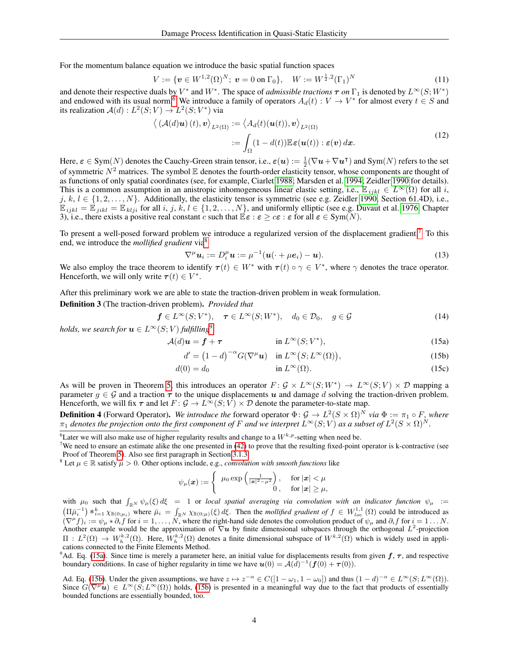For the momentum balance equation we introduce the basic spatial function spaces

$$
V := \{ \boldsymbol{v} \in W^{1,2}(\Omega)^N; \ \boldsymbol{v} = 0 \text{ on } \Gamma_0 \}, \quad W := W^{\frac{1}{2},2}(\Gamma_1)^N \tag{11}
$$

and denote their respective duals by  $V^*$  and  $W^*$ . The space of *admissible tractions*  $\tau$  *on*  $\Gamma_1$  is denoted by  $L^\infty(S; W^*)$ and endowed with its usual norm.<sup>[6](#page-0-0)</sup> We introduce a family of operators  $A_d(t): V \to V^*$  for almost every  $t \in S$  and its realization  $\mathcal{A}(d) : L^2(S; V) \to L^2(S; V^*)$  via

<span id="page-3-4"></span>
$$
\langle (\mathcal{A}(d)\mathbf{u})(t), \mathbf{v} \rangle_{L^2(\Omega)} := \langle A_d(t)(\mathbf{u}(t)), \mathbf{v} \rangle_{L^2(\Omega)}
$$
  
 := 
$$
\int_{\Omega} (1 - d(t)) \mathbb{E} \varepsilon(\mathbf{u}(t)) : \varepsilon(\mathbf{v}) \, dx. \tag{12}
$$

Here,  $\varepsilon \in \text{Sym}(N)$  denotes the Cauchy-Green strain tensor, i.e.,  $\varepsilon(u) := \frac{1}{2}(\nabla u + \nabla u^{\intercal})$  and  $\text{Sym}(N)$  refers to the set of symmetric  $N^2$  matrices. The symbol  $\mathbb E$  denotes the fourth-order elasticity tensor, whose components are thought of as functions of only spatial coordinates (see, for example, Ciarlet [1988;](#page-18-6) Marsden et al. [1994;](#page-19-17) Zeidler [1990](#page-19-6) for details). This is a common assumption in an anistropic inhomogeneous linear elastic setting, i.e.,  $\mathbb{E}_{ijkl} \in L^{\infty}(\Omega)$  for all i, j,  $k, l \in \{1, 2, \ldots, N\}$ . Additionally, the elasticity tensor is symmetric (see e.g. Zeidler [1990,](#page-19-6) Section 61.4D), i.e.,  $\mathbb{E}_{ijkl} = \mathbb{E}_{jikl} = \mathbb{E}_{klji}$  for all i, j, k,  $l \in \{1, 2, ..., N\}$ , and uniformly elliptic (see e.g. Duvaut et al. [1976,](#page-18-7) Chapter 3), i.e., there exists a positive real constant c such that  $\mathbb{E}\varepsilon : \varepsilon \geq c\varepsilon : \varepsilon$  for all  $\varepsilon \in \text{Sym}(N)$ .

To present a well-posed forward problem we introduce a regularized version of the displacement gradient.[7](#page-0-0) To this end, we introduce the *mollified gradient* via[8](#page-0-0)

<span id="page-3-5"></span><span id="page-3-2"></span>
$$
\nabla^{\mu} \mathbf{u}_{i} := D_{i}^{\mu} \mathbf{u} := \mu^{-1} (\mathbf{u}(\cdot + \mu \mathbf{e}_{i}) - \mathbf{u}). \tag{13}
$$

We also employ the trace theorem to identify  $\tau(t) \in W^*$  with  $\tau(t) \circ \gamma \in V^*$ , where  $\gamma$  denotes the trace operator. Henceforth, we will only write  $\tau(t) \in V^*$ .

After this preliminary work we are able to state the traction-driven problem in weak formulation.

<span id="page-3-1"></span>Definition 3 (The traction-driven problem). *Provided that*

$$
\mathbf{f} \in L^{\infty}(S; V^*), \quad \boldsymbol{\tau} \in L^{\infty}(S; W^*), \quad d_0 \in \mathcal{D}_0, \quad g \in \mathcal{G}
$$
\n
$$
L^{\infty}(S; V) \in L^{\infty}(\mathbb{R}^n; \mathbb{R}^n) \tag{14}
$$

*holds, we search for*  $u \in L^{\infty}(S; V)$  *fulfilling*<sup> $\theta$ </sup>

$$
\mathcal{A}(d)\mathbf{u} = \mathbf{f} + \boldsymbol{\tau} \qquad \text{in } L^{\infty}(S; V^*), \tag{15a}
$$

<span id="page-3-3"></span>
$$
d' = (1 - d)^{-\alpha} G(\nabla^{\mu} \mathbf{u}) \quad \text{in } L^{\infty}(S; L^{\infty}(\Omega)),
$$
\n(15b)

$$
d(0) = d_0 \qquad \qquad \text{in } L^{\infty}(\Omega). \tag{15c}
$$

As will be proven in Theorem [5,](#page-4-1) this introduces an operator  $F: \mathcal{G} \times L^{\infty}(S; W^*) \to L^{\infty}(S; V) \times \mathcal{D}$  mapping a parameter  $q \in \mathcal{G}$  and a traction  $\tau$  to the unique displacements u and damage d solving the traction-driven problem. Henceforth, we will fix  $\tau$  and let  $F: \mathcal{G} \to L^{\infty}(S; V) \times \mathcal{D}$  denote the parameter-to-state map.

<span id="page-3-0"></span>**Definition 4** (Forward Operator). We introduce the forward operator  $\Phi: \mathcal{G} \to L^2(S \times \Omega)^N$  via  $\Phi := \pi_1 \circ F$ , where  $\pi_1$  denotes the projection onto the first component of F and we interpret  $L^\infty(S;V)$  as a subset of  $L^2(S\times\Omega)^N$ .

<sup>8</sup> Let  $\mu \in \mathbb{R}$  satisfy  $\mu > 0$ . Other options include, e.g., *convolution with smooth functions* like

$$
\psi_{\mu}(\boldsymbol{x}) := \begin{cases} \mu_0 \exp\left(\frac{1}{|\boldsymbol{x}|^2 - \mu^2}\right), & \text{for } |\boldsymbol{x}| < \mu \\ 0, & \text{for } |\boldsymbol{x}| \ge \mu, \end{cases}
$$

with  $\mu_0$  such that  $\int_{\mathbb{R}^N} \psi_\mu(\xi) d\xi = 1$  or *local spatial averaging via convolution with an indicator function*  $\psi_\mu$  :=  $(\Pi \bar{\mu}_i^{-1}) *_{i=1}^k \chi_{\mathbb{B}(0;\mu_i)}$  where  $\bar{\mu}_i = \int_{\mathbb{R}^N} \chi_{\mathbb{B}(0;\mu)}(\xi) d\xi$ . Then the *mollified gradient of*  $f \in W_{loc}^{1,1}(\Omega)$  could be introduced as  $(\nabla^{\mu} f)_i := \psi_{\mu} * \partial_i f$  for  $i = 1, ..., N$ , where the right-hand side denotes the convolution product of  $\psi_{\mu}$  and  $\partial_i f$  for  $i = 1...N$ . Another example would be the approximation of  $\nabla u$  by finite dimensional subspaces through the orthogonal  $L^2$ -projection  $\Pi: L^2(\Omega) \to W_h^{k,2}(\Omega)$ . Here,  $W_h^{k,2}(\Omega)$  denotes a finite dimensional subspace of  $W^{k,2}(\Omega)$  which is widely used in applications connected to the Finite Elements Method.

<sup>9</sup>Ad. Eq. [\(15a\)](#page-2-3). Since time is merely a parameter here, an initial value for displacements results from given  $f, \tau$ , and respective boundary conditions. In case of higher regularity in time we have  $u(0) = A(d)^{-1}(f(0) + \tau(0))$ .

Ad. Eq. [\(15b\)](#page-1-1). Under the given assumptions, we have  $z \mapsto z^{-\alpha} \in C([1 - \omega_1, 1 - \omega_0])$  and thus  $(1 - d)^{-\alpha} \in L^{\infty}(S; L^{\infty}(\Omega))$ . Since  $G(\nabla^{\mu} \boldsymbol{u}) \in L^{\infty}(S; L^{\infty}(\Omega))$  holds, [\(15b\)](#page-1-1) is presented in a meaningful way due to the fact that products of essentially bounded functions are essentially bounded, too.

<sup>&</sup>lt;sup>6</sup>Later we will also make use of higher regularity results and change to a  $W^{k,p}$ -setting when need be.

<sup>&</sup>lt;sup>7</sup>We need to ensure an estimate alike the one presented in  $(42)$  to prove that the resulting fixed-point operator is k-contractive (see Proof of Theorem [5\)](#page-4-1). Also see first paragraph in Section [3.1.3.](#page-8-1)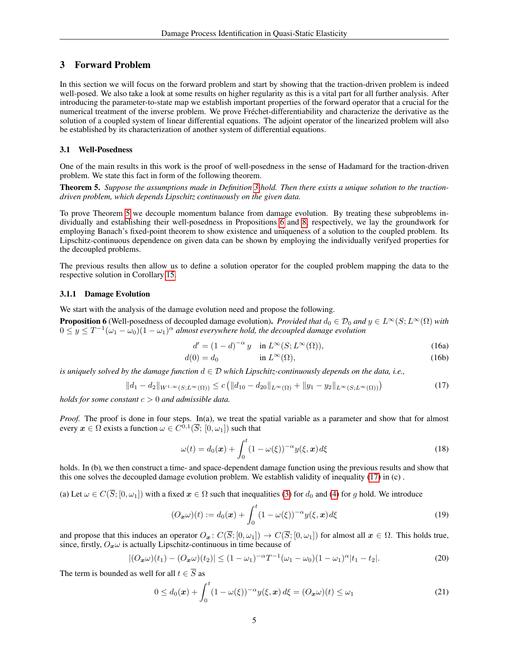## <span id="page-4-0"></span>3 Forward Problem

In this section we will focus on the forward problem and start by showing that the traction-driven problem is indeed well-posed. We also take a look at some results on higher regularity as this is a vital part for all further analysis. After introducing the parameter-to-state map we establish important properties of the forward operator that a crucial for the numerical treatment of the inverse problem. We prove Fréchet-differentiability and characterize the derivative as the solution of a coupled system of linear differential equations. The adjoint operator of the linearized problem will also be established by its characterization of another system of differential equations.

## 3.1 Well-Posedness

One of the main results in this work is the proof of well-posedness in the sense of Hadamard for the traction-driven problem. We state this fact in form of the following theorem.

<span id="page-4-1"></span>Theorem 5. *Suppose the assumptions made in Definition [3](#page-3-1) hold. Then there exists a unique solution to the tractiondriven problem, which depends Lipschitz continuously on the given data.*

To prove Theorem [5](#page-4-1) we decouple momentum balance from damage evolution. By treating these subproblems individually and establishing their well-posedness in Propositions [6](#page-4-2) and [8,](#page-6-0) respectively, we lay the groundwork for employing Banach's fixed-point theorem to show existence and uniqueness of a solution to the coupled problem. Its Lipschitz-continuous dependence on given data can be shown by employing the individually verifyed properties for the decoupled problems.

The previous results then allow us to define a solution operator for the coupled problem mapping the data to the respective solution in Corollary [15.](#page-10-0)

### 3.1.1 Damage Evolution

We start with the analysis of the damage evolution need and propose the following.

<span id="page-4-2"></span>**Proposition 6** (Well-posedness of decoupled damage evolution). *Provided that*  $d_0 \in \mathcal{D}_0$  *and*  $y \in L^\infty(S; L^\infty(\Omega)$  *with*  $0 \leq y \leq T^{-1}(\omega_1 - \omega_0)(1 - \omega_1)^\alpha$  almost everywhere hold, the decoupled damage evolution

<span id="page-4-7"></span><span id="page-4-6"></span><span id="page-4-3"></span>
$$
d' = (1 - d)^{-\alpha} y \quad \text{in } L^{\infty}(S; L^{\infty}(\Omega)),
$$
\n(16a)

$$
d(0) = d_0 \qquad \qquad \text{in } L^{\infty}(\Omega), \tag{16b}
$$

*is uniquely solved by the damage function*  $d \in \mathcal{D}$  *which Lipschitz-continuously depends on the data, i.e.,* 

$$
||d_1 - d_2||_{W^{1,\infty}(S;L^{\infty}(\Omega))} \le c \left( ||d_{10} - d_{20}||_{L^{\infty}(\Omega)} + ||y_1 - y_2||_{L^{\infty}(S;L^{\infty}(\Omega))} \right)
$$
(17)

*holds for some constant* c > 0 *and admissible data.*

*Proof.* The proof is done in four steps. In(a), we treat the spatial variable as a parameter and show that for almost every  $\boldsymbol{x} \in \Omega$  exists a function  $\omega \in C^{0,1}(\overline{S}; [0, \omega_1])$  such that

<span id="page-4-5"></span>
$$
\omega(t) = d_0(\boldsymbol{x}) + \int_0^t (1 - \omega(\xi))^{-\alpha} y(\xi, \boldsymbol{x}) d\xi
$$
\n(18)

holds. In (b), we then construct a time- and space-dependent damage function using the previous results and show that this one solves the decoupled damage evolution problem. We establish validity of inequality [\(17\)](#page-4-3) in (c) .

(a) Let  $\omega \in C(\overline{S}; [0, \omega_1])$  with a fixed  $x \in \Omega$  such that inequalities [\(3\)](#page-1-2) for  $d_0$  and [\(4\)](#page-2-1) for g hold. We introduce

<span id="page-4-4"></span>
$$
(O_{\boldsymbol{x}}\omega)(t) := d_0(\boldsymbol{x}) + \int_0^t (1 - \omega(\xi))^{-\alpha} y(\xi, \boldsymbol{x}) d\xi
$$
\n(19)

and propose that this induces an operator  $O_x$ :  $C(\overline{S}; [0, \omega_1]) \to C(\overline{S}; [0, \omega_1])$  for almost all  $x \in \Omega$ . This holds true, since, firstly,  $O_x \omega$  is actually Lipschitz-continuous in time because of

$$
|(O_{\boldsymbol{x}}\omega)(t_1) - (O_{\boldsymbol{x}}\omega)(t_2)| \le (1 - \omega_1)^{-\alpha} T^{-1} (\omega_1 - \omega_0)(1 - \omega_1)^{\alpha} |t_1 - t_2|.
$$
 (20)

The term is bounded as well for all  $t \in \overline{S}$  as

$$
0 \le d_0(\boldsymbol{x}) + \int_0^t (1 - \omega(\xi))^{-\alpha} y(\xi, \boldsymbol{x}) d\xi = (O_{\boldsymbol{x}}\omega)(t) \le \omega_1
$$
\n(21)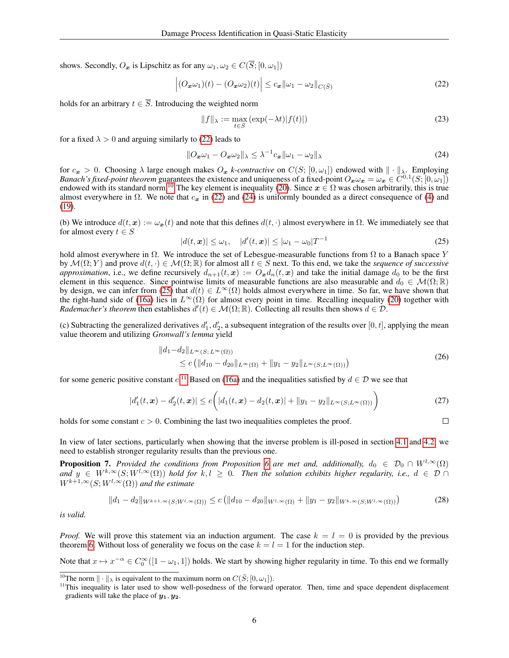shows. Secondly,  $O_x$  is Lipschitz as for any  $\omega_1, \omega_2 \in C(\overline{S}; [0, \omega_1])$ 

$$
\left| (O_{\mathbf{x}}\omega_1)(t) - (O_{\mathbf{x}}\omega_2)(t) \right| \le c_{\mathbf{x}} ||\omega_1 - \omega_2||_{C(\bar{S})}
$$
\n(22)

holds for an arbitrary  $t \in \overline{S}$ . Introducing the weighted norm

<span id="page-5-4"></span><span id="page-5-1"></span><span id="page-5-0"></span>
$$
||f||_{\lambda} := \max_{t \in \bar{S}} \left( \exp(-\lambda t) |f(t)| \right) \tag{23}
$$

for a fixed  $\lambda > 0$  and arguing similarly to [\(22\)](#page-5-0) leads to

$$
||O_{\boldsymbol{x}}\omega_1 - O_{\boldsymbol{x}}\omega_2||_{\lambda} \leq \lambda^{-1}c_{\boldsymbol{x}}||\omega_1 - \omega_2||_{\lambda}
$$
\n(24)

for  $c_x > 0$ . Choosing  $\lambda$  large enough makes  $O_x$  *k-contractive* on  $C(S; [0, \omega_1])$  endowed with  $\|\cdot\|_{\lambda}$ . Employing *Banach's fixed-point theorem* guarantees the existence and uniqueness of a fixed-point  $O_x \omega_x = \omega_x \in C^{0,1}(S; [0, \omega_1])$ endowed with its standard norm.<sup>[10](#page-0-0)</sup> The key element is inequality [\(20\)](#page-4-4). Since  $x \in \Omega$  was chosen arbitrarily, this is true almost everywhere in  $\Omega$ . We note that  $c_x$  in [\(22\)](#page-5-0) and [\(24\)](#page-5-1) is uniformly bounded as a direct consequence of [\(4\)](#page-2-1) and [\(19\)](#page-4-5).

(b) We introduce  $d(t, x) := \omega_x(t)$  and note that this defines  $d(t, \cdot)$  almost everywhere in  $\Omega$ . We immediately see that for almost every  $t \in S$ 

<span id="page-5-2"></span>
$$
|d(t, \boldsymbol{x})| \le \omega_1, \quad |d'(t, \boldsymbol{x})| \le |\omega_1 - \omega_0| T^{-1}
$$
\n(25)

hold almost everywhere in  $\Omega$ . We introduce the set of Lebesgue-measurable functions from  $\Omega$  to a Banach space Y by  $\mathcal{M}(\Omega; Y)$  and prove  $d(t, \cdot) \in \mathcal{M}(\Omega; \mathbb{R})$  for almost all  $t \in S$  next. To this end, we take the *sequence of successive approximation*, i.e., we define recursively  $d_{n+1}(t, x) := O_x d_n(t, x)$  and take the initial damage  $d_0$  to be the first element in this sequence. Since pointwise limits of measurable functions are also measurable and  $d_0 \in \mathcal{M}(\Omega;\mathbb{R})$ by design, we can infer from [\(25\)](#page-5-2) that  $d(t) \in L^{\infty}(\Omega)$  holds almost everywhere in time. So far, we have shown that the right-hand side of [\(16a\)](#page-4-6) lies in  $L^{\infty}(\Omega)$  for almost every point in time. Recalling inequality [\(20\)](#page-4-4) together with *Rademacher's theorem* then establishes  $d'(t) \in M(\Omega;\mathbb{R})$ . Collecting all results then shows  $d \in \mathcal{D}$ .

(c) Subtracting the generalized derivatives  $d'_1, d'_2$ , a subsequent integration of the results over [0, t], applying the mean value theorem and utilizing *Gronwall's lemma* yield

$$
||d_1 - d_2||_{L^{\infty}(S; L^{\infty}(\Omega))}
$$
  
\$\le c \left( ||d\_{10} - d\_{20}||\_{L^{\infty}(\Omega)} + ||y\_1 - y\_2||\_{L^{\infty}(S; L^{\infty}(\Omega))}\right)\$ (26)

for some generic positive constant  $c$ .<sup>[11](#page-0-0)</sup> Based on [\(16a\)](#page-4-6) and the inequalities satisfied by  $d \in \mathcal{D}$  we see that

$$
|d_1'(t, \boldsymbol{x}) - d_2'(t, \boldsymbol{x})| \le c \bigg( |d_1(t, \boldsymbol{x}) - d_2(t, \boldsymbol{x})| + \|y_1 - y_2\|_{L^\infty(S; L^\infty(\Omega))} \bigg) \tag{27}
$$

holds for some constant  $c > 0$ . Combining the last two inequalities completes the proof.

 $\Box$ 

In view of later sections, particularly when showing that the inverse problem is ill-posed in section [4.1](#page-15-1) and [4.2,](#page-16-0) we need to establish stronger regularity results than the previous one.

<span id="page-5-5"></span>**Proposition 7.** *Provided the conditions from Proposition* [6](#page-4-2) *are met and, additionally,*  $d_0 \in \mathcal{D}_0 \cap W^{l,\infty}(\Omega)$  $\overline{u}$  and  $y \in W^{k,\infty}(S;W^{l,\infty}(\Omega))$  hold for  $k, l > 0$ . Then the solution exhibits higher regularity, i.e.,  $d \in \mathcal{D}$  $W^{k+1,\infty}(S;W^{l,\infty}(\Omega))$  *and the estimate* 

<span id="page-5-3"></span>
$$
||d_1 - d_2||_{W^{k+1,\infty}(S;W^{l,\infty}(\Omega))} \le c \left( ||d_{10} - d_{20}||_{W^{l,\infty}(\Omega)} + ||y_1 - y_2||_{W^{k,\infty}(S;W^{l,\infty}(\Omega))} \right) \tag{28}
$$

*is valid.*

*Proof.* We will prove this statement via an induction argument. The case  $k = l = 0$  is provided by the previous theorem [6.](#page-4-2) Without loss of generality we focus on the case  $k = l = 1$  for the induction step.

Note that  $x \mapsto x^{-\alpha} \in C_0^{\infty}([1 - \omega_1, 1])$  holds. We start by showing higher regularity in time. To this end we formally

<sup>&</sup>lt;sup>10</sup>The norm  $\|\cdot\|_{\lambda}$  is equivalent to the maximum norm on  $C(\bar{S}; [0, \omega_1])$ .

<sup>&</sup>lt;sup>11</sup>This inequality is later used to show well-posedness of the forward operator. Then, time and space dependent displacement gradients will take the place of  $y_1, y_2$ .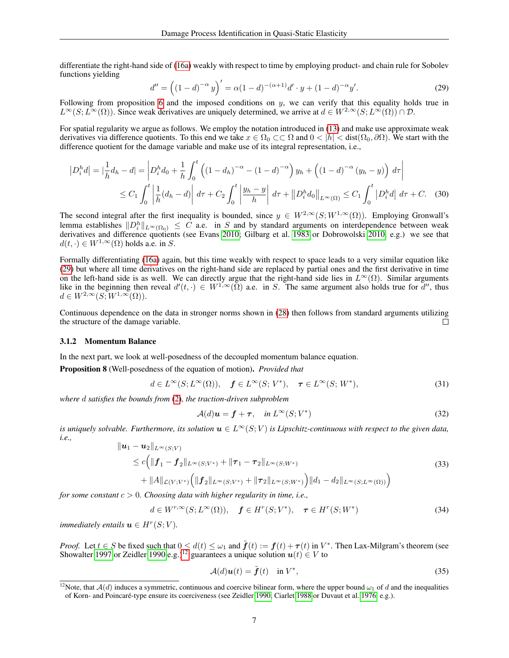differentiate the right-hand side of [\(16a\)](#page-4-6) weakly with respect to time by employing product- and chain rule for Sobolev functions yielding

<span id="page-6-1"></span>
$$
d'' = ((1-d)^{-\alpha} y)' = \alpha (1-d)^{-(\alpha+1)} d' \cdot y + (1-d)^{-\alpha} y'.
$$
 (29)

Following from proposition [6](#page-4-2) and the imposed conditions on  $y$ , we can verify that this equality holds true in  $L^{\infty}(S; L^{\infty}(\Omega))$ . Since weak derivatives are uniquely determined, we arrive at  $d \in W^{2,\infty}(S; L^{\infty}(\Omega)) \cap \mathcal{D}$ .

For spatial regularity we argue as follows. We employ the notation introduced in [\(13\)](#page-3-2) and make use approximate weak derivatives via difference quotients. To this end we take  $x \in \Omega_0 \subset\subset \Omega$  and  $0 < |h| < \text{dist}(\Omega_0, \partial\Omega)$ . We start with the difference quotient for the damage variable and make use of its integral representation, i.e.,

$$
|D_i^h d| = \left| \frac{1}{h} d_h - d \right| = \left| D_i^h d_0 + \frac{1}{h} \int_0^t \left( (1 - d_h)^{-\alpha} - (1 - d)^{-\alpha} \right) y_h + \left( (1 - d)^{-\alpha} (y_h - y) \right) d\tau \right|
$$
  
 
$$
\leq C_1 \int_0^t \left| \frac{1}{h} (d_h - d) \right| d\tau + C_2 \int_0^t \left| \frac{y_h - y}{h} \right| d\tau + \| D_i^h d_0 \|_{L^\infty(\Omega)} \leq C_1 \int_0^t |D_i^h d| d\tau + C. \quad (30)
$$

The second integral after the first inequality is bounded, since  $y \in W^{2,\infty}(S;W^{1,\infty}(\Omega))$ . Employing Gronwall's lemma establishes  $||D_i^h||_{L^{\infty}(\Omega_0)} \leq C$  a.e. in S and by standard arguments on interdependence between weak derivatives and difference quotients (see Evans [2010;](#page-18-12) Gilbarg et al. [1983](#page-18-13) or Dobrowolski [2010,](#page-18-14) e.g.) we see that  $d(t, \cdot) \in W^{1,\infty}(\Omega)$  holds a.e. in S.

Formally differentiating [\(16a\)](#page-4-6) again, but this time weakly with respect to space leads to a very similar equation like [\(29\)](#page-6-1) but where all time derivatives on the right-hand side are replaced by partial ones and the first derivative in time on the left-hand side is as well. We can directly argue that the right-hand side lies in  $L^{\infty}(\Omega)$ . Similar arguments like in the beginning then reveal  $d'(t, \cdot) \in W^{1,\infty}(\overline{\Omega})$  a.e. in S. The same argument also holds true for  $d''$ , thus  $d \in W^{2,\infty}(S;W^{1,\infty}(\Omega)).$ 

Continuous dependence on the data in stronger norms shown in [\(28\)](#page-5-3) then follows from standard arguments utilizing the structure of the damage variable.  $\Box$ 

#### 3.1.2 Momentum Balance

In the next part, we look at well-posedness of the decoupled momentum balance equation.

<span id="page-6-0"></span>Proposition 8 (Well-posedness of the equation of motion). *Provided that*

$$
d \in L^{\infty}(S; L^{\infty}(\Omega)), \quad \mathbf{f} \in L^{\infty}(S; V^*), \quad \tau \in L^{\infty}(S; W^*), \tag{31}
$$

*where* d *satisfies the bounds from* [\(2\)](#page-1-1)*, the traction-driven subproblem*

<span id="page-6-3"></span>
$$
\mathcal{A}(d)\mathbf{u} = \mathbf{f} + \boldsymbol{\tau}, \quad \text{in } L^{\infty}(S; V^*)
$$
\n(32)

*is uniquely solvable. Furthermore, its solution*  $u \in L^{\infty}(S; V)$  *is Lipschitz-continuous with respect to the given data, i.e.,*

$$
\|u_1 - u_2\|_{L^{\infty}(S;V)}
$$
  
\n
$$
\leq c \Big( \|f_1 - f_2\|_{L^{\infty}(S;V^*)} + \|\tau_1 - \tau_2\|_{L^{\infty}(S;W^*)}
$$
  
\n
$$
+ \|A\|_{\mathcal{L}(V;V^*)} \Big( \|f_2\|_{L^{\infty}(S;V^*)} + \|\tau_2\|_{L^{\infty}(S;W^*)} \Big) \|d_1 - d_2\|_{L^{\infty}(S;L^{\infty}(\Omega))} \Big)
$$
\n(33)

*for some constant* c > 0*. Choosing data with higher regularity in time, i.e.,*

$$
d \in W^{r,\infty}(S; L^{\infty}(\Omega)), \quad \mathbf{f} \in H^r(S; V^*), \quad \tau \in H^r(S; W^*)
$$
\n
$$
(34)
$$

*immediately entails*  $\boldsymbol{u} \in H^r(S; V)$ *.* 

*Proof.* Let  $t \in S$  be fixed such that  $0 \leq d(t) \leq \omega_1$  and  $\tilde{f}(t) := f(t) + \tau(t)$  in  $V^*$ . Then Lax-Milgram's theorem (see Showalter [1997](#page-19-18) or Zeidler [1990](#page-19-6) e.g.)<sup>[12](#page-0-0)</sup> guarantees a unique solution  $u(t) \in V$  to

<span id="page-6-2"></span>
$$
\mathcal{A}(d)\mathbf{u}(t) = \tilde{\mathbf{f}}(t) \quad \text{in } V^*,
$$
\n(35)

<sup>&</sup>lt;sup>12</sup>Note, that  $A(d)$  induces a symmetric, continuous and coercive bilinear form, where the upper bound  $\omega_1$  of d and the inequalities of Korn- and Poincaré-type ensure its coerciveness (see Zeidler [1990,](#page-19-6) Ciarlet [1988](#page-18-6) or Duvaut et al. [1976,](#page-18-7) e.g.).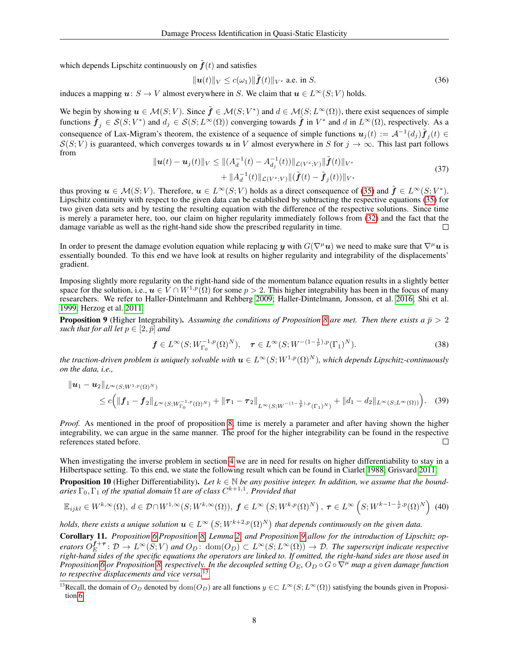which depends Lipschitz continuously on  $\tilde{f}(t)$  and satisfies

<span id="page-7-1"></span>
$$
\|\boldsymbol{u}(t)\|_{V} \le c(\omega_1) \|\tilde{\boldsymbol{f}}(t)\|_{V^*} \text{ a.e. in } S. \tag{36}
$$

induces a mapping  $u: S \to V$  almost everywhere in S. We claim that  $u \in L^{\infty}(S; V)$  holds.

We begin by showing  $u \in \mathcal{M}(S; V)$ . Since  $\tilde{f} \in \mathcal{M}(S; V^*)$  and  $d \in \mathcal{M}(S; L^{\infty}(\Omega))$ , there exist sequences of simple functions  $\tilde{\boldsymbol{f}}_j \in \mathcal{S}(S; V^*)$  and  $d_j \in \mathcal{S}(S; L^{\infty}(\Omega))$  converging towards  $\tilde{\boldsymbol{f}}$  in  $V^*$  and  $d$  in  $L^{\infty}(\Omega)$ , respectively. As a consequence of Lax-Migram's theorem, the existence of a sequence of simple functions  $u_j(t) := \mathcal{A}^{-1}(d_j)\tilde{f}_j(t) \in$  $S(S; V)$  is guaranteed, which converges towards u in V almost everywhere in S for  $j \to \infty$ . This last part follows from

$$
\|u(t) - u_j(t)\|_V \le \| (A_d^{-1}(t) - A_{d_j}^{-1}(t)) \|_{\mathcal{L}(V^*;V)} \|\tilde{f}(t)\|_{V^*} + \|A_d^{-1}(t)\|_{\mathcal{L}(V^*;V)} \|\tilde{f}(t) - \tilde{f}_j(t)\|_{V^*}
$$
\n(37)

thus proving  $u \in \mathcal{M}(S; V)$ . Therefore,  $u \in L^{\infty}(S; V)$  holds as a direct consequence of [\(35\)](#page-6-2) and  $\tilde{\boldsymbol{f}} \in L^{\infty}(S; V^*)$ . Lipschitz continuity with respect to the given data can be established by subtracting the respective equations [\(35\)](#page-6-2) for two given data sets and by testing the resulting equation with the difference of the respective solutions. Since time is merely a parameter here, too, our claim on higher regularity immediately follows from [\(32\)](#page-6-3) and the fact that the damage variable as well as the right-hand side show the prescribed regularity in time.  $\Box$ 

In order to present the damage evolution equation while replacing y with  $G(\nabla^{\mu}u)$  we need to make sure that  $\nabla^{\mu}u$  is essentially bounded. To this end we have look at results on higher regularity and integrability of the displacements' gradient.

Imposing slightly more regularity on the right-hand side of the momentum balance equation results in a slightly better space for the solution, i.e.,  $u \in V \cap W^{1,p}(\Omega)$  for some  $p > 2$ . This higher integrability has been in the focus of many researchers. We refer to Haller-Dintelmann and Rehberg [2009;](#page-18-15) Haller-Dintelmann, Jonsson, et al. [2016;](#page-18-16) Shi et al. [1999;](#page-19-19) Herzog et al. [2011.](#page-18-17)

<span id="page-7-0"></span>**Proposition 9** (Higher Integrability). Assuming the conditions of Proposition [8](#page-6-0) are met. Then there exists a  $\bar{p} > 2$ *such that for all let*  $p \in [2, \bar{p}]$  *and* 

$$
\mathbf{f} \in L^{\infty}(S; W_{\Gamma_0}^{-1, p}(\Omega)^N), \quad \tau \in L^{\infty}(S; W^{-(1-\frac{1}{p}), p}(\Gamma_1)^N).
$$
 (38)

*the traction-driven problem is uniquely solvable with*  $u \in L^{\infty}(S; W^{1,p}(\Omega)^N)$ *, which depends Lipschitz-continuously on the data, i.e.,*

$$
\|u_1 - u_2\|_{L^{\infty}(S; W^{1, p}(\Omega)^N)}
$$
  
\n
$$
\leq c \Big( \|f_1 - f_2\|_{L^{\infty}(S; W^{-1, p}_{\Gamma_0}(\Omega)^N)} + \|\tau_1 - \tau_2\|_{L^{\infty}(S; W^{-(1 - \frac{1}{p}), p}(\Gamma_1)^N)} + \|d_1 - d_2\|_{L^{\infty}(S; L^{\infty}(\Omega))} \Big). \tag{39}
$$

*Proof.* As mentioned in the proof of proposition [8,](#page-6-0) time is merely a parameter and after having shown the higher integrability, we can argue in the same manner. The proof for the higher integrability can be found in the respective references stated before.  $\Box$ 

<span id="page-7-3"></span>When investigating the inverse problem in section [4](#page-15-0) we are in need for results on higher differentiability to stay in a Hilbertspace setting. To this end, we state the following result which can be found in Ciarlet [1988;](#page-18-6) Grisvard [2011.](#page-18-18) **Proposition 10** (Higher Differentiability). Let  $k \in \mathbb{N}$  be any positive integer. In addition, we assume that the bound $a$ ries  $\Gamma_0$ ,  $\Gamma_1$  *of the spatial domain*  $\Omega$  *are of class*  $C^{k+1,1}$ *. Provided that* 

$$
\mathbb{E}_{ijkl} \in W^{k,\infty}(\Omega), d \in \mathcal{D} \cap W^{1,\infty}(S;W^{k,\infty}(\Omega)), \ \mathbf{f} \in L^{\infty}\left(S;W^{k,p}(\Omega)^N\right), \ \boldsymbol{\tau} \in L^{\infty}\left(S;W^{k-1-\frac{1}{p},p}(\Omega)^N\right) \tag{40}
$$

*holds, there exists a unique solution*  $u \in L^{\infty} (S; W^{k+2,p}(\Omega)^N)$  *that depends continuously on the given data.* 

<span id="page-7-2"></span>Corollary 11. *Proposition [6,](#page-4-2)Proposition [8,](#page-6-0) Lemma [2,](#page-2-2) and Proposition [9](#page-7-0) allow for the introduction of Lipschitz op-* $\mathcal{O}_E^{f+\tau}: \mathcal{D} \to L^\infty(S;V)$  and  $O_D: \text{ dom}(O_D) \subset L^\infty(S;L^\infty(\Omega)) \to \mathcal{D}$ . The superscript indicate respective *right-hand sides of the specific equations the operators are linked to. If omitted, the right-hand sides are those used in Proposition* [6](#page-4-2) *or Proposition* [8,](#page-6-0) *respectively. In the decoupled setting*  $O_E$ ,  $O_D \circ G \circ \nabla^\mu$  *map a given damage function to respective displacements and vice versa.*[13](#page-0-0)

<sup>&</sup>lt;sup>13</sup>Recall, the domain of  $O_D$  denoted by  $dom(O_D)$  are all functions  $y \in \subset L^{\infty}(S; L^{\infty}(\Omega))$  satisfying the bounds given in Proposition [6.](#page-4-2)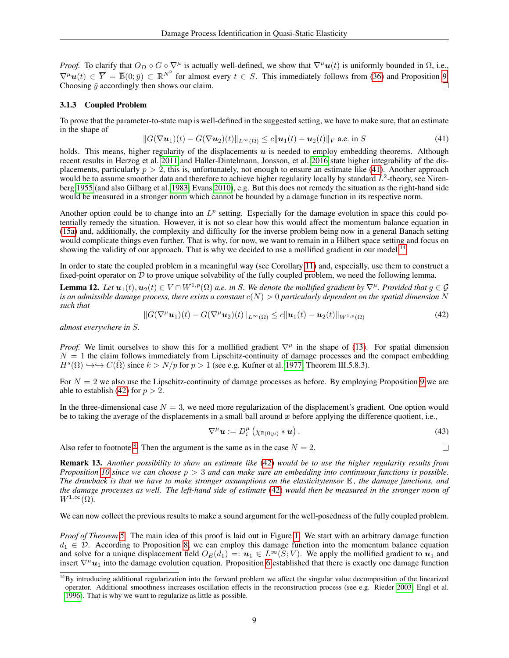*Proof.* To clarify that  $O_D \circ G \circ \nabla^{\mu}$  is actually well-defined, we show that  $\nabla^{\mu}u(t)$  is uniformly bounded in  $\Omega$ , i.e.,  $\nabla^{\mu} u(t) \in \overline{Y} = \overline{\mathbb{B}}(0;\overline{y}) \subset \mathbb{R}^{N^2}$  for almost every  $t \in S$ . This immediately follows from [\(36\)](#page-7-1) and Proposition [9.](#page-7-0) Choosing  $\bar{y}$  accordingly then shows our claim.

#### <span id="page-8-1"></span>3.1.3 Coupled Problem

To prove that the parameter-to-state map is well-defined in the suggested setting, we have to make sure, that an estimate in the shape of

<span id="page-8-2"></span>
$$
||G(\nabla \mathbf{u}_1)(t) - G(\nabla \mathbf{u}_2)(t)||_{L^{\infty}(\Omega)} \le c||\mathbf{u}_1(t) - \mathbf{u}_2(t)||_V \text{ a.e. in } S
$$
\n(41)

holds. This means, higher regularity of the displacements  $u$  is needed to employ embedding theorems. Although recent results in Herzog et al. [2011](#page-18-17) and Haller-Dintelmann, Jonsson, et al. [2016](#page-18-16) state higher integrability of the displacements, particularly  $p > 2$ , this is, unfortunately, not enough to ensure an estimate like [\(41\)](#page-8-2). Another approach would be to assume smoother data and therefore to achieve higher regularity locally by standard  $L^2$ -theory, see Nirenberg [1955](#page-19-20) (and also Gilbarg et al. [1983;](#page-18-13) Evans [2010\)](#page-18-12), e.g. But this does not remedy the situation as the right-hand side would be measured in a stronger norm which cannot be bounded by a damage function in its respective norm.

Another option could be to change into an  $L^p$  setting. Especially for the damage evolution in space this could potentially remedy the situation. However, it is not so clear how this would affect the momentum balance equation in [\(15a\)](#page-2-3) and, additionally, the complexity and difficulty for the inverse problem being now in a general Banach setting would complicate things even further. That is why, for now, we want to remain in a Hilbert space setting and focus on showing the validity of our approach. That is why we decided to use a mollified gradient in our model.<sup>[4</sup>]

In order to state the coupled problem in a meaningful way (see Corollary [11\)](#page-7-2) and, especially, use them to construct a fixed-point operator on  $\overline{D}$  to prove unique solvability of the fully coupled problem, we need the following lemma.

<span id="page-8-3"></span><span id="page-8-0"></span>**Lemma 12.** *Let*  $u_1(t), u_2(t) \in V \cap W^{1,p}(\Omega)$  *a.e.* in S. We denote the mollified gradient by  $\nabla^{\mu}$ . Provided that  $q \in \mathcal{G}$ *is an admissible damage process, there exists a constant*  $c(N) > 0$  *particularly dependent on the spatial dimension* N *such that*

$$
||G(\nabla^{\mu} \mathbf{u}_1)(t) - G(\nabla^{\mu} \mathbf{u}_2)(t)||_{L^{\infty}(\Omega)} \leq c||\mathbf{u}_1(t) - \mathbf{u}_2(t)||_{W^{1,p}(\Omega)}
$$
(42)

*almost everywhere in* S*.*

*Proof.* We limit ourselves to show this for a mollified gradient  $\nabla^{\mu}$  in the shape of [\(13\)](#page-3-2). For spatial dimension  $N = 1$  the claim follows immediately from Lipschitz-continuity of damage processes and the compact embedding  $H^{s}(\Omega) \hookrightarrow \hookrightarrow C(\overline{\Omega})$  since  $k > N/p$  for  $p > 1$  (see e.g. Kufner et al. [1977,](#page-19-21) Theorem III.5.8.3).

For  $N = 2$  we also use the Lipschitz-continuity of damage processes as before. By employing Proposition [9](#page-7-0) we are able to establish [\(42\)](#page-8-0) for  $p > 2$ .

In the three-dimensional case  $N = 3$ , we need more regularization of the displacement's gradient. One option would be to taking the average of the displacements in a small ball around  $x$  before applying the difference quotient, i.e.,

$$
\nabla^{\mu} \mathbf{u} := D_i^{\mu} \left( \chi_{\mathbb{B}(0;\mu)} * \mathbf{u} \right).
$$
 (43)

Also refer to footnote <sup>[8](#page-0-0)</sup>. Then the argument is the same as in the case  $N = 2$ .

 $\Box$ 

<span id="page-8-4"></span>Remark 13. *Another possibility to show an estimate like* [\(42\)](#page-8-0) *would be to use the higher regularity results from Proposition [10](#page-7-3) since we can choose* p > 3 *and can make sure an embedding into continuous functions is possible. The drawback is that we have to make stronger assumptions on the elasticitytensor* E *, the damage functions, and the damage processes as well. The left-hand side of estimate* [\(42\)](#page-8-0) *would then be measured in the stronger norm of*  $W^{1,\infty}(\Omega)$ .

We can now collect the previous results to make a sound argument for the well-posedness of the fully coupled problem.

*Proof of Theorem [5.](#page-4-1)* The main idea of this proof is laid out in Figure [1.](#page-9-0) We start with an arbitrary damage function  $d_1 \in \mathcal{D}$ . According to Proposition [8,](#page-6-0) we can employ this damage function into the momentum balance equation and solve for a unique displacement field  $O_E(d_1) =: u_1 \in L^\infty(S; V)$ . We apply the mollified gradient to  $u_1$  and insert  $\nabla^{\mu}u_1$  into the damage evolution equation. Proposition [6](#page-4-2) established that there is exactly one damage function

 $14$ By introducing additional regularization into the forward problem we affect the singular value decomposition of the linearized operator. Additional smoothness increases oscillation effects in the reconstruction process (see e.g. Rieder [2003;](#page-19-3) Engl et al. [1996\)](#page-18-0). That is why we want to regularize as little as possible.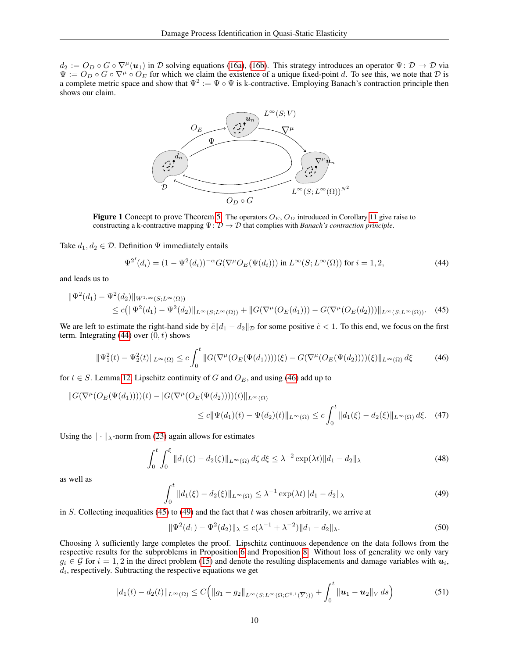$d_2 := Q_D \circ G \circ \nabla^{\mu}(\boldsymbol{u}_1)$  in D solving equations [\(16a\)](#page-4-6), [\(16b\)](#page-4-7). This strategy introduces an operator  $\Psi \colon \mathcal{D} \to \mathcal{D}$  via  $\Psi := O_D \circ G \circ \nabla^{\mu} \circ O_E$  for which we claim the existence of a unique fixed-point d. To see this, we note that D is a complete metric space and show that  $\Psi^2 := \Psi \circ \Psi$  is k-contractive. Employing Banach's contraction prin shows our claim.



<span id="page-9-0"></span>**Figure 1** Concept to prove Theorem [5.](#page-4-1) The operators  $O_E$ ,  $O_D$  introduced in Corollary [11](#page-7-2) give raise to constructing a k-contractive mapping  $\Psi: \mathcal{D} \to \mathcal{D}$  that complies with *Banach's contraction principle*.

Take  $d_1, d_2 \in \mathcal{D}$ . Definition  $\Psi$  immediately entails

<span id="page-9-3"></span><span id="page-9-1"></span>
$$
\Psi^{2'}(d_i) = (1 - \Psi^2(d_i))^{-\alpha} G(\nabla^{\mu} O_E(\Psi(d_i))) \text{ in } L^{\infty}(S; L^{\infty}(\Omega)) \text{ for } i = 1, 2,
$$
\n(44)

and leads us to

$$
\begin{split} \|\Psi^{2}(d_{1}) - \Psi^{2}(d_{2})\|_{W^{1,\infty}(S;L^{\infty}(\Omega))} \\ &\leq c \big( \|\Psi^{2}(d_{1}) - \Psi^{2}(d_{2})\|_{L^{\infty}(S;L^{\infty}(\Omega))} + \|G(\nabla^{\mu}(O_{E}(d_{1}))) - G(\nabla^{\mu}(O_{E}(d_{2})))\|_{L^{\infty}(S;L^{\infty}(\Omega))}. \end{split} \tag{45}
$$

We are left to estimate the right-hand side by  $\tilde{c}||d_1 - d_2||_{\mathcal{D}}$  for some positive  $\tilde{c} < 1$ . To this end, we focus on the first term. Integrating [\(44\)](#page-9-1) over  $(0, t)$  shows

<span id="page-9-2"></span>
$$
\|\Psi_1^2(t) - \Psi_2^2(t)\|_{L^\infty(\Omega)} \le c \int_0^t \|G(\nabla^\mu (O_E(\Psi(d_1))))(\xi) - G(\nabla^\mu (O_E(\Psi(d_2))))(\xi)\|_{L^\infty(\Omega)} d\xi \tag{46}
$$

for  $t \in S$ . Lemma [12,](#page-8-3) Lipschitz continuity of G and  $O_E$ , and using [\(46\)](#page-9-2) add up to

$$
||G(\nabla^{\mu}(O_{E}(\Psi(d_{1}))))(t) - |G(\nabla^{\mu}(O_{E}(\Psi(d_{2}))))(t)||_{L^{\infty}(\Omega)} \le c||\Psi(d_{1})(t) - \Psi(d_{2})(t)||_{L^{\infty}(\Omega)} \le c \int_{0}^{t} ||d_{1}(\xi) - d_{2}(\xi)||_{L^{\infty}(\Omega)} d\xi.
$$
 (47)

Using the  $\|\cdot\|_{\lambda}$ -norm from [\(23\)](#page-5-4) again allows for estimates

$$
\int_0^t \int_0^{\xi} \|d_1(\zeta) - d_2(\zeta)\|_{L^{\infty}(\Omega)} d\zeta d\xi \le \lambda^{-2} \exp(\lambda t) \|d_1 - d_2\|_{\lambda}
$$
\n(48)

<span id="page-9-4"></span>as well as

$$
\int_0^t \|d_1(\xi) - d_2(\xi)\|_{L^\infty(\Omega)} \le \lambda^{-1} \exp(\lambda t) \|d_1 - d_2\|_{\lambda}
$$
\n(49)

in S. Collecting inequalities [\(45\)](#page-9-3) to [\(49\)](#page-9-4) and the fact that t was chosen arbitrarily, we arrive at

$$
\|\Psi^{2}(d_{1}) - \Psi^{2}(d_{2})\|_{\lambda} \le c(\lambda^{-1} + \lambda^{-2})\|d_{1} - d_{2}\|_{\lambda}.
$$
\n(50)

Choosing  $\lambda$  sufficiently large completes the proof. Lipschitz continuous dependence on the data follows from the respective results for the subproblems in Proposition [6](#page-4-2) and Proposition [8.](#page-6-0) Without loss of generality we only vary  $g_i \in G$  for  $i = 1, 2$  in the direct problem [\(15\)](#page-3-3) and denote the resulting displacements and damage variables with  $u_i$ ,  $d_i$ , respectively. Subtracting the respective equations we get

$$
||d_1(t) - d_2(t)||_{L^{\infty}(\Omega)} \le C\Big(||g_1 - g_2||_{L^{\infty}(S;L^{\infty}(\Omega;C^{0,1}(\overline{Y})))} + \int_0^t ||\boldsymbol{u}_1 - \boldsymbol{u}_2||_V ds\Big) \tag{51}
$$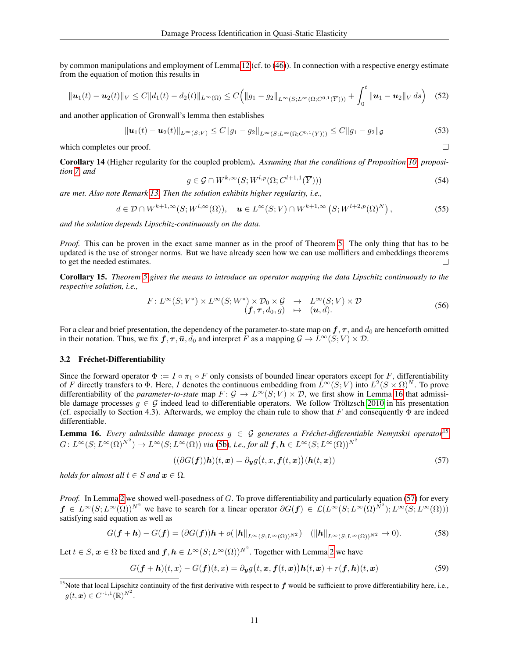by common manipulations and employment of Lemma [12](#page-8-3) (cf. to [\(46\)](#page-9-2)). In connection with a respective energy estimate from the equation of motion this results in

$$
\|\mathbf{u}_1(t)-\mathbf{u}_2(t)\|_V \leq C\|d_1(t)-d_2(t)\|_{L^{\infty}(\Omega)} \leq C\Big(\|g_1-g_2\|_{L^{\infty}(S;L^{\infty}(\Omega;C^{0,1}(\overline{Y})))}+\int_0^t \|\mathbf{u}_1-\mathbf{u}_2\|_V ds\Big) \quad (52)
$$

and another application of Gronwall's lemma then establishes

$$
\|\mathbf{u}_1(t) - \mathbf{u}_2(t)\|_{L^{\infty}(S;V)} \le C \|g_1 - g_2\|_{L^{\infty}(S;L^{\infty}(\Omega;C^{0,1}(\overline{Y})))} \le C \|g_1 - g_2\|_{\mathcal{G}}
$$
(53)

which completes our proof.

Corollary 14 (Higher regularity for the coupled problem). *Assuming that the conditions of Proposition [10,](#page-7-3) proposition [7,](#page-5-5) and*

<span id="page-10-3"></span>
$$
g \in \mathcal{G} \cap W^{k,\infty}(S;W^{l,p}(\Omega;C^{l+1,1}(\overline{Y})))
$$
\n
$$
(54)
$$

 $\Box$ 

*are met. Also note Remark [13.](#page-8-4) Then the solution exhibits higher regularity, i.e.,*

$$
d \in \mathcal{D} \cap W^{k+1,\infty}(S;W^{l,\infty}(\Omega)), \quad \mathbf{u} \in L^{\infty}(S;V) \cap W^{k+1,\infty}\left(S;W^{l+2,p}(\Omega)^N\right),\tag{55}
$$

*and the solution depends Lipschitz-continuously on the data.*

*Proof.* This can be proven in the exact same manner as in the proof of Theorem [5.](#page-4-1) The only thing that has to be updated is the use of stronger norms. But we have already seen how we can use mollifiers and embeddings theorems to get the needed estimates.  $\Box$ 

<span id="page-10-0"></span>Corollary 15. *Theorem [5](#page-4-1) gives the means to introduce an operator mapping the data Lipschitz continuously to the respective solution, i.e.,*

$$
F: L^{\infty}(S; V^*) \times L^{\infty}(S; W^*) \times \mathcal{D}_0 \times \mathcal{G} \rightarrow L^{\infty}(S; V) \times \mathcal{D}
$$
  
\n
$$
(\mathbf{f}, \tau, d_0, g) \rightarrow (\mathbf{u}, d).
$$
\n(56)

For a clear and brief presentation, the dependency of the parameter-to-state map on  $f, \tau$ , and  $d_0$  are henceforth omitted in their notation. Thus, we fix  $f, \tau, \bar{u}, \bar{d}_0$  and interpret F as a mapping  $\mathcal{G} \to \bar{L}^{\infty}(S; V) \times \mathcal{D}$ .

#### 3.2 Fréchet-Differentiability

Since the forward operator  $\Phi := I \circ \pi_1 \circ F$  only consists of bounded linear operators except for F, differentiability of F directly transfers to  $\Phi$ . Here, I denotes the continuous embedding from  $\hat{L}^{\infty}(S; V)$  into  $L^2(S \times \Omega)^N$ . To prove differentiability of the *parameter-to-state* map  $F: \mathcal{G} \to L^{\infty}(S; V) \times \mathcal{D}$ , we first show in Lemma [16](#page-10-1) that admissible damage processes  $q \in G$  indeed lead to differentiable operators. We follow Tröltzsch [2010](#page-19-16) in his presentation (cf. especially to Section 4.3). Afterwards, we employ the chain rule to show that F and consequently  $\bar{\Phi}$  are indeed differentiable.

<span id="page-10-1"></span>**Lemma 16.** *Every admissible damage process*  $g \in \mathcal{G}$  *generates a Fréchet-differentiable Nemytskii operator*<sup>[15](#page-0-0)</sup>  $G\colon L^\infty(S;L^\infty(\Omega)^{N^2})\to L^\infty(S;L^\infty(\Omega))$  via [\(5b\)](#page-1-1), i.e., for all  $\bm{f},\bm{h}\in L^\infty(S;L^\infty(\Omega))^{N^2}$ 

<span id="page-10-2"></span>
$$
((\partial G(\mathbf{f}))\mathbf{h})(t,\mathbf{x}) = \partial_{\mathbf{y}}g(t,x,\mathbf{f}(t,\mathbf{x}))(\mathbf{h}(t,\mathbf{x}))
$$
\n(57)

*holds for almost all*  $t \in S$  *and*  $x \in \Omega$ *.* 

*Proof.* In Lemma [2](#page-2-2) we showed well-posedness of G. To prove differentiability and particularly equation [\(57\)](#page-10-2) for every  $f \in L^{\infty}(S; L^{\infty}(\Omega))^{N^2}$  we have to search for a linear operator  $\partial G(f) \in \mathcal{L}(L^{\infty}(S; L^{\infty}(\Omega))^{N^2})$ ;  $L^{\infty}(S; L^{\infty}(\Omega))$ satisfying said equation as well as

$$
G(\boldsymbol{f} + \boldsymbol{h}) - G(\boldsymbol{f}) = (\partial G(\boldsymbol{f}))\boldsymbol{h} + o(\|\boldsymbol{h}\|_{L^{\infty}(S;L^{\infty}(\Omega))^{N^2}}) \quad (\|\boldsymbol{h}\|_{L^{\infty}(S;L^{\infty}(\Omega))^{N^2}} \to 0).
$$
 (58)

Let  $t \in S$ ,  $x \in \Omega$  be fixed and  $f, h \in L^{\infty}(S; L^{\infty}(\Omega))^{N^2}$ . Together with Lemma [2](#page-2-2) we have

$$
G(\boldsymbol{f} + \boldsymbol{h})(t, x) - G(\boldsymbol{f})(t, x) = \partial_{\boldsymbol{y}} g(t, \boldsymbol{x}, \boldsymbol{f}(t, \boldsymbol{x})) \boldsymbol{h}(t, \boldsymbol{x}) + r(\boldsymbol{f}, \boldsymbol{h})(t, \boldsymbol{x}) \tag{59}
$$

<sup>&</sup>lt;sup>15</sup>Note that local Lipschitz continuity of the first derivative with respect to  $f$  would be sufficient to prove differentiability here, i.e.,  $g(t, x) \in C^{-1, 1}(\mathbb{R})^{N^2}.$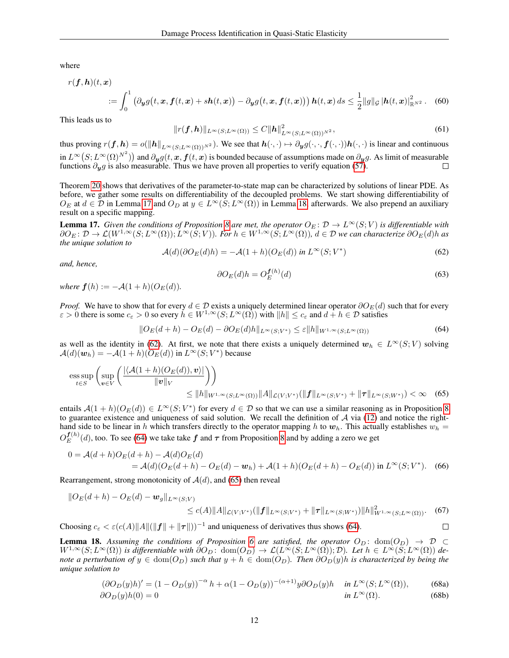where

$$
r(\boldsymbol{f}, \boldsymbol{h})(t, \boldsymbol{x}) = \int_0^1 \left( \partial_{\boldsymbol{y}} g\big(t, \boldsymbol{x}, \boldsymbol{f}(t, \boldsymbol{x}) + s\boldsymbol{h}(t, \boldsymbol{x})\big) - \partial_{\boldsymbol{y}} g\big(t, \boldsymbol{x}, \boldsymbol{f}(t, \boldsymbol{x})\big) \right) \boldsymbol{h}(t, \boldsymbol{x}) \, ds \le \frac{1}{2} \|g\|_{\mathcal{G}} \left| \boldsymbol{h}(t, \boldsymbol{x}) \right\|_{\mathbb{R}^{N^2}}^2. \tag{60}
$$

This leads us to

$$
||r(\boldsymbol{f},\boldsymbol{h})||_{L^{\infty}(S;L^{\infty}(\Omega))} \leq C \|\boldsymbol{h}\|_{L^{\infty}(S;L^{\infty}(\Omega))^{N^2}}^2,
$$
\n(61)

thus proving  $r(f, h) = o(||h||_{L^{\infty}(S; L^{\infty}(\Omega))^{N^2}})$ . We see that  $h(\cdot, \cdot) \mapsto \partial_y g(\cdot, \cdot, f(\cdot, \cdot))h(\cdot, \cdot)$  is linear and continuous in  $L^\infty(S;L^\infty(\Omega)^{N^2})$  and  $\partial_{\bm{y}}g(t,\bm{x},\bm{f}(t,\bm{x})$  is bounded because of assumptions made on  $\partial_{\bm{y}}g$ . As limit of measurable functions  $\partial_y g$  is also measurable. Thus we have proven all properties to verify equation [\(57\)](#page-10-2).

Theorem [20](#page-12-0) shows that derivatives of the parameter-to-state map can be characterized by solutions of linear PDE. As before, we gather some results on differentiability of the decoupled problems. We start showing differentiability of  $O_E$  at  $d \in \mathcal{D}$  in Lemma [17](#page-11-0) and  $O_D$  at  $y \in L^{\infty}(S; L^{\infty}(\Omega))$  in Lemma [18,](#page-11-1) afterwards. We also prepend an auxiliary result on a specific mapping.

<span id="page-11-0"></span>**Lemma 17.** Given the conditions of Proposition [8](#page-6-0) are met, the operator  $O_E: \mathcal{D} \to L^\infty(S; V)$  is differentiable with  $\partial O_E: \mathcal{D} \to \mathcal{L}(W^{1,\infty}(S;L^{\infty}(\Omega)); L^{\infty}(\hat{S};V)).$  For  $h \in W^{1,\infty}(\hat{S};L^{\infty}(\Omega)), d \in \mathcal{D}$  we can characterize  $\partial O_E(d)h$  as *the unique solution to*

<span id="page-11-3"></span>f(h)

<span id="page-11-2"></span>
$$
\mathcal{A}(d)(\partial O_E(d)h) = -\mathcal{A}(1+h)(O_E(d)) \text{ in } L^{\infty}(S;V^*)
$$
\n(62)

<span id="page-11-6"></span>*and, hence,*

$$
\partial O_E(d)h = O_E^{\mathbf{f}(h)}(d) \tag{63}
$$

<span id="page-11-7"></span><span id="page-11-4"></span> $\Box$ 

*where*  $f(h) := -\mathcal{A}(1+h)(O_E(d)).$ 

*Proof.* We have to show that for every  $d \in \mathcal{D}$  exists a uniquely determined linear operator  $\partial O_E(d)$  such that for every  $\varepsilon > 0$  there is some  $c_{\varepsilon} > 0$  so every  $h \in W^{1,\infty}(S; L^{\infty}(\Omega))$  with  $||h|| \leq c_{\varepsilon}$  and  $d + h \in \mathcal{D}$  satisfies

$$
||O_E(d+h) - O_E(d) - \partial O_E(d)h||_{L^{\infty}(S;V^*)} \le \varepsilon ||h||_{W^{1,\infty}(S;L^{\infty}(\Omega))}
$$
\n(64)

as well as the identity in [\(62\)](#page-11-2). At first, we note that there exists a uniquely determined  $w_h \in L^{\infty}(S; V)$  solving  $\mathcal{A}(d)(\boldsymbol{w}_h) = -\mathcal{A}(1+h)(O_E(d))$  in  $L^{\infty}(S;V^*)$  because

$$
\underset{t \in S}{\text{ess sup}} \left( \underset{\mathbf{v} \in V}{\text{sup}} \left( \frac{|\langle \mathcal{A}(1+h)(O_E(d)), \mathbf{v} \rangle|}{\|\mathbf{v}\|_V} \right) \right) \le \|h\|_{W^{1,\infty}(S; L^{\infty}(\Omega))} \|A\|_{\mathcal{L}(V; V^*)} (\|\mathbf{f}\|_{L^{\infty}(S; V^*)} + \|\boldsymbol{\tau}\|_{L^{\infty}(S; W^*)}) < \infty \quad (65)
$$

entails  $A(1 + h)(O_E(d)) \in L^{\infty}(S; V^*)$  for every  $d \in \mathcal{D}$  so that we can use a similar reasoning as in Proposition [8](#page-6-0) to guarantee existence and uniqueness of said solution. We recall the definition of  $A$  via [\(12\)](#page-3-4) and notice the righthand side to be linear in h which transfers directly to the operator mapping h to  $w_h$ . This actually establishes  $w_h$  =  $O_{E}^{\bm{f}(h)}$  $E_E^{(n)}(d)$ , too. To see [\(64\)](#page-11-3) we take take  $f$  and  $\tau$  from Proposition [8](#page-6-0) and by adding a zero we get

$$
0 = \mathcal{A}(d+h)O_E(d+h) - \mathcal{A}(d)O_E(d)
$$
  
=  $\mathcal{A}(d)(O_E(d+h) - O_E(d) - \mathbf{w}_h) + \mathcal{A}(1+h)(O_E(d+h) - O_E(d))$  in  $L^{\infty}(S; V^*)$ . (66)

Rearrangement, strong monotonicity of  $A(d)$ , and [\(65\)](#page-11-4) then reveal

$$
\|O_E(d+h) - O_E(d) - \mathbf{w}_g\|_{L^{\infty}(S;V)} \le c(A) \|A\|_{\mathcal{L}(V;V^*)} (\|\mathbf{f}\|_{L^{\infty}(S;V^*)} + \|\boldsymbol{\tau}\|_{L^{\infty}(S;W^*)}) \|h\|_{W^{1,\infty}(S;L^{\infty}(\Omega))}^2. \tag{67}
$$

Choosing  $c_{\varepsilon} < \varepsilon (c(A) ||A|| (||f|| + ||\tau||))^{-1}$  and uniqueness of derivatives thus shows [\(64\)](#page-11-3).

<span id="page-11-1"></span>**Lemma 18.** Assuming the conditions of Proposition [6](#page-4-2) are satisfied, the operator  $O_D$ : dom $(O_D) \rightarrow \mathcal{D}$  $W^{1,\infty}(S;L^{\infty}(\Omega))$  is differentiable with  $\partial O_D$ :  $\text{dom}(O_D) \to \mathcal{L}(L^{\infty}(S;L^{\infty}(\Omega)); \mathcal{D})$ *. Let*  $h \in L^{\infty}(S;L^{\infty}(\Omega))$  de*note a perturbation of*  $y \in \text{dom}(O_D)$  *such that*  $y + h \in \text{dom}(O_D)$ *. Then*  $\partial O_D(y)h$  *is characterized by being the unique solution to*

<span id="page-11-5"></span>
$$
(\partial O_D(y)h)' = (1 - O_D(y))^{-\alpha} h + \alpha (1 - O_D(y))^{-(\alpha+1)} y \partial O_D(y)h \quad \text{in } L^{\infty}(S; L^{\infty}(\Omega)),
$$
 (68a)  

$$
\partial O_D(y)h(0) = 0 \quad \text{in } L^{\infty}(\Omega).
$$
 (68b)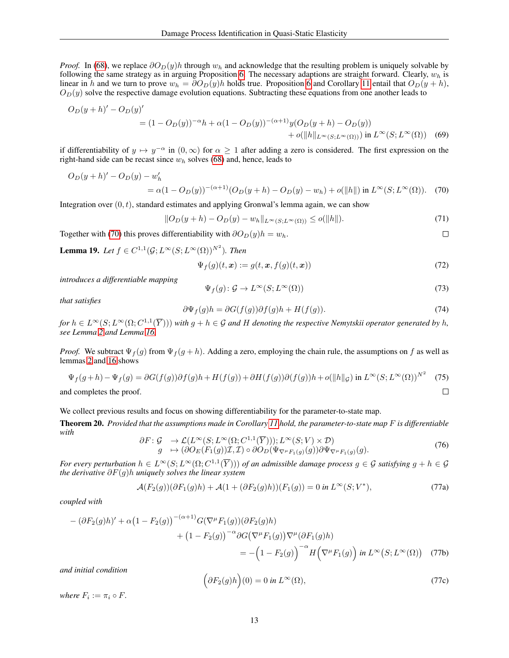*Proof.* In [\(68\)](#page-11-5), we replace  $\partial O_D(y)h$  through  $w_h$  and acknowledge that the resulting problem is uniquely solvable by following the same strategy as in arguing Proposition [6.](#page-4-2) The necessary adaptions are straight forward. Clearly,  $w<sub>h</sub>$  is linear in h and we turn to prove  $w_h = \partial O_D(y)h$  holds true. Proposition [6](#page-4-2) and Corollary [11](#page-7-2) entail that  $O_D(y + h)$ ,  $O<sub>D</sub>(y)$  solve the respective damage evolution equations. Subtracting these equations from one another leads to

$$
O_D(y+h)' - O_D(y)'
$$
  
=  $(1-O_D(y))^{-\alpha}h + \alpha(1-O_D(y))^{-(\alpha+1)}y(O_D(y+h) - O_D(y))$   
+  $o(||h||_{L^{\infty}(S;L^{\infty}(\Omega))})$  in  $L^{\infty}(S;L^{\infty}(\Omega))$  (69)

if differentiability of  $y \mapsto y^{-\alpha}$  in  $(0, \infty)$  for  $\alpha \ge 1$  after adding a zero is considered. The first expression on the right-hand side can be recast since  $w<sub>h</sub>$  solves [\(68\)](#page-11-5) and, hence, leads to

$$
O_D(y+h)' - O_D(y) - w'_h
$$
  
=  $\alpha (1 - O_D(y))^{-(\alpha+1)} (O_D(y+h) - O_D(y) - w_h) + o(||h||) \text{ in } L^{\infty}(S; L^{\infty}(\Omega)).$  (70)

Integration over  $(0, t)$ , standard estimates and applying Gronwal's lemma again, we can show

$$
||O_D(y+h) - O_D(y) - w_h||_{L^{\infty}(S; L^{\infty}(\Omega))} \le o(||h||). \tag{71}
$$

Together with [\(70\)](#page-12-1) this proves differentiability with  $\partial O_D(y)h = w_h$ .

<span id="page-12-4"></span>**Lemma 19.** Let  $f \in C^{1,1}(\mathcal{G}; L^{\infty}(S; L^{\infty}(\Omega))^{N^2})$ . Then

$$
\Psi_f(g)(t,\boldsymbol{x}) := g(t,\boldsymbol{x},f(g)(t,\boldsymbol{x}))\tag{72}
$$

<span id="page-12-1"></span> $\Box$ 

*introduces a differentiable mapping*

$$
\Psi_f(g) \colon \mathcal{G} \to L^\infty(S; L^\infty(\Omega)) \tag{73}
$$

*that satisfies*

$$
\partial \Psi_f(g)h = \partial G(f(g))\partial f(g)h + H(f(g)).\tag{74}
$$

 $f$ or  $h \in L^{\infty}(S; L^{\infty}(\Omega; C^{1,1}(\overline{Y})))$  with  $g + h \in \mathcal{G}$  and  $H$  denoting the respective Nemytskii operator generated by h, *see Lemma [2](#page-2-2) and Lemma [16.](#page-10-1)*

*Proof.* We subtract  $\Psi_f(g)$  from  $\Psi_f(g+h)$ . Adding a zero, employing the chain rule, the assumptions on f as well as lemmas [2](#page-2-2) and [16](#page-10-1) shows

$$
\Psi_f(g+h) - \Psi_f(g) = \partial G(f(g))\partial f(g)h + H(f(g)) + \partial H(f(g))\partial (f(g))h + o(\|h\|_{\mathcal{G}}) \text{ in } L^{\infty}(S; L^{\infty}(\Omega))^{N^2} \tag{75}
$$
  
and completes the proof.

and completes the proof.

We collect previous results and focus on showing differentiability for the parameter-to-state map.

<span id="page-12-2"></span><span id="page-12-0"></span>Theorem 20. *Provided that the assumptions made in Corollary [11](#page-7-2) hold, the parameter-to-state map* F *is differentiable with*

<span id="page-12-3"></span>
$$
\partial F: \mathcal{G} \to \mathcal{L}(L^{\infty}(S; L^{\infty}(\Omega; C^{1,1}(\overline{Y}))), L^{\infty}(S; V) \times \mathcal{D}) g \mapsto (\partial O_E(F_1(g))\mathcal{I}, \mathcal{I}) \circ \partial O_D(\Psi_{\nabla^{\mu} F_1(g)}(g)) \partial \Psi_{\nabla^{\mu} F_1(g)}(g).
$$
\n(76)

*For every perturbation*  $h \in L^{\infty}(S; L^{\infty}(\Omega; C^{1,1}(\overline{Y})))$  *of an admissible damage process*  $g \in \mathcal{G}$  *satisfying*  $g + h \in \mathcal{G}$ *the derivative* ∂F(g)h *uniquely solves the linear system*

$$
\mathcal{A}(F_2(g))(\partial F_1(g)h) + \mathcal{A}(1 + (\partial F_2(g)h))(F_1(g)) = 0 \text{ in } L^{\infty}(S; V^*),
$$
\n(77a)

*coupled with*

$$
-(\partial F_2(g)h)'+\alpha(1-F_2(g))^{-(\alpha+1)}G(\nabla^\mu F_1(g))(\partial F_2(g)h)
$$
  
+
$$
(1-F_2(g))^{-(\alpha+1)}G(\nabla^\mu F_1(g))\nabla^\mu(\partial F_1(g)h)
$$
  
=
$$
-\left(1-F_2(g)\right)^{-\alpha}H\left(\nabla^\mu F_1(g)\right)\text{ in } L^\infty(S;L^\infty(\Omega)) \quad (77b)
$$

<span id="page-12-5"></span>*and initial condition*

$$
\left(\partial F_2(g)h\right)(0) = 0 \text{ in } L^{\infty}(\Omega),\tag{77c}
$$

*where*  $F_i := \pi_i \circ F$ .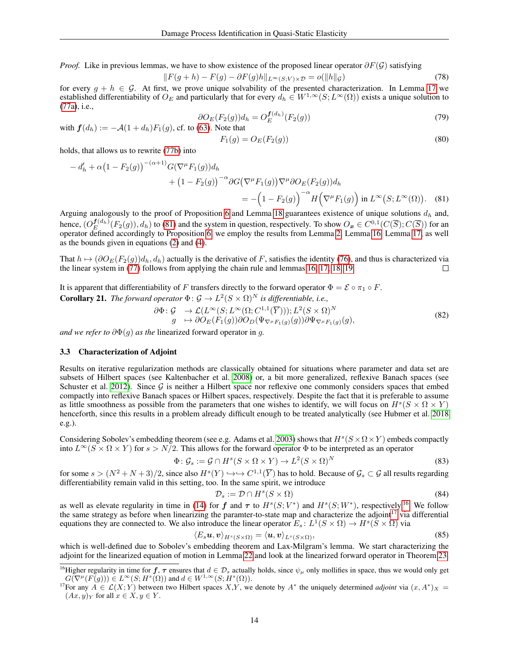*Proof.* Like in previous lemmas, we have to show existence of the proposed linear operator  $\partial F(G)$  satisfying

$$
||F(g+h) - F(g) - \partial F(g)h||_{L^{\infty}(S;V)\times \mathcal{D}} = o(||h||_{\mathcal{G}})
$$
\n(78)

for every  $g + h \in G$ . At first, we prove unique solvability of the presented characterization. In Lemma [17](#page-11-0) we established differentiability of  $O_E$  and particularly that for every  $d_h \in W^{1,\infty}(S;L^{\infty}(\Omega))$  exists a unique solution to [\(77a\)](#page-4-6), i.e.,

$$
\partial O_E(F_2(g))d_h = O_E^{\mathbf{f}(d_h)}(F_2(g))\tag{79}
$$

with  $f(d_h) := -\mathcal{A}(1+d_h)F_1(g)$ , cf. to [\(63\)](#page-11-6). Note that

<span id="page-13-0"></span>
$$
F_1(g) = O_E(F_2(g))\tag{80}
$$

holds, that allows us to rewrite [\(77b\)](#page-4-7) into

$$
-d'_{h} + \alpha (1 - F_2(g))^{-(\alpha+1)} G(\nabla^{\mu} F_1(g)) d_h
$$
  
+ 
$$
(1 - F_2(g))^{-\alpha} \partial G(\nabla^{\mu} F_1(g)) \nabla^{\mu} \partial O_E(F_2(g)) d_h
$$
  
= 
$$
- (1 - F_2(g))^{-\alpha} H(\nabla^{\mu} F_1(g)) \text{ in } L^{\infty}(S; L^{\infty}(\Omega)). \quad (81)
$$

Arguing analogously to the proof of Proposition [6](#page-4-2) and Lemma [18](#page-11-1) guarantees existence of unique solutions  $d_h$  and, hence,  $(O_{E}^{f(d_h)}(F_2(g)), d_h)$  to [\(81\)](#page-13-0) and the system in question, respectively. To show  $O_x \in C^{0,1}(C(\overline{S}); C(\overline{S}))$  for an operator defined accordingly to Proposition [6,](#page-4-2) we employ the results from Lemma [2,](#page-2-2) Lemma [16,](#page-10-1) Lemma [17,](#page-11-0) as well as the bounds given in equations [\(2\)](#page-1-1) and [\(4\)](#page-2-1).

That  $h \mapsto (\partial O_E(F_2(g))d_h, d_h)$  actually is the derivative of F, satisfies the identity [\(76\)](#page-12-2), and thus is characterized via the linear system in (77) follows from applying the chain rule and lemmas 16, 17, 18, 19. the linear system in [\(77\)](#page-12-3) follows from applying the chain rule and lemmas [16,](#page-10-1) [17,](#page-11-0) [18,](#page-11-1) [19.](#page-12-4)

It is apparent that differentiability of F transfers directly to the forward operator  $\Phi = \mathcal{E} \circ \pi_1 \circ F$ . **Corollary 21.** *The forward operator*  $\Phi$ :  $\mathcal{G} \to L^2(S \times \Omega)^N$  *is differentiable, i.e.,* 

$$
\begin{aligned}\n\partial \Phi &: \mathcal{G} &\to \mathcal{L}(L^{\infty}(S; L^{\infty}(\Omega; C^{1,1}(\overline{Y}))), L^{2}(S \times \Omega)^{N} \\
g &\mapsto \partial O_{E}(F_{1}(g)) \partial O_{D}(\Psi_{\nabla^{\mu}F_{1}(g)}(g)) \partial \Psi_{\nabla^{\mu}F_{1}(g)}(g),\n\end{aligned} \tag{82}
$$

*and we refer to*  $\partial \Phi(q)$  *as the linearized forward operator in q.* 

#### 3.3 Characterization of Adjoint

Results on iterative regularization methods are classically obtained for situations where parameter and data set are subsets of Hilbert spaces (see Kaltenbacher et al. [2008\)](#page-19-22) or, a bit more generalized, reflexive Banach spaces (see Schuster et al. [2012\)](#page-19-23). Since  $G$  is neither a Hilbert space nor reflexive one commonly considers spaces that embed compactly into reflexive Banach spaces or Hilbert spaces, respectively. Despite the fact that it is preferable to assume as little smoothness as possible from the parameters that one wishes to identify, we will focus on  $H^s(S \times \Omega \times Y)$ henceforth, since this results in a problem already difficult enough to be treated analytically (see Hubmer et al. [2018](#page-18-19) e.g.).

Considering Sobolev's embedding theorem (see e.g. Adams et al. [2003\)](#page-18-20) shows that  $H^s(S \times \Omega \times Y)$  embeds compactly into  $L^{\infty}(S \times \Omega \times Y)$  for  $s > N/2$ . This allows for the forward operator  $\Phi$  to be interpreted as an operator

$$
\Phi \colon \mathcal{G}_s := \mathcal{G} \cap H^s(S \times \Omega \times Y) \to L^2(S \times \Omega)^N \tag{83}
$$

for some  $s > (N^2 + N + 3)/2$ , since also  $H^s(Y) \hookrightarrow C^{1,1}(\overline{Y})$  has to hold. Because of  $\mathcal{G}_s \subset \mathcal{G}$  all results regarding differentiability remain valid in this setting, too. In the same spirit, we introduce

<span id="page-13-3"></span><span id="page-13-2"></span>
$$
\mathcal{D}_s := \mathcal{D} \cap H^s(S \times \Omega) \tag{84}
$$

as well as elevate regularity in time in [\(14\)](#page-3-5) for f and  $\tau$  to  $H^s(S; V^*)$  and  $H^s(S; W^*)$ , respectively.<sup>[16](#page-0-0)</sup> We follow the same strategy as before when linearizing the paramter-to-state map and characterize the adjoint<sup>[17](#page-0-0)</sup> via differential equations they are connected to. We also introduce the linear operator  $E_s: L^1(S \times \Omega) \to H^s(\tilde{S} \times \Omega)$  via

$$
\langle E_s \boldsymbol{u}, \boldsymbol{v} \rangle_{H^s(S \times \Omega)} = \langle \boldsymbol{u}, \boldsymbol{v} \rangle_{L^s(S \times \Omega)},\tag{85}
$$

which is well-defined due to Sobolev's embedding theorem and Lax-Milgram's lemma. We start characterizing the adjoint for the linearized equation of motion in Lemma [22](#page-13-1) and look at the linearized forward operator in Theorem [23.](#page-14-0)

<span id="page-13-1"></span><sup>&</sup>lt;sup>16</sup>Higher regularity in time for  $f, \tau$  ensures that  $d \in \mathcal{D}_s$  actually holds, since  $\psi_\mu$  only mollifies in space, thus we would only get  $G(\nabla^{\mu}(F(g))) \in L^{\infty}(S; H^{s}(\Omega))$  and  $d \in W^{1,\infty}(S; H^{s}(\Omega)).$ 

<sup>&</sup>lt;sup>17</sup>For any  $A \in \mathcal{L}(X;Y)$  between two Hilbert spaces X,Y, we denote by  $A^*$  the uniquely determined *adjoint* via  $(x, A^*)_X =$  $(Ax, y)_Y$  for all  $x \in X, y \in Y$ .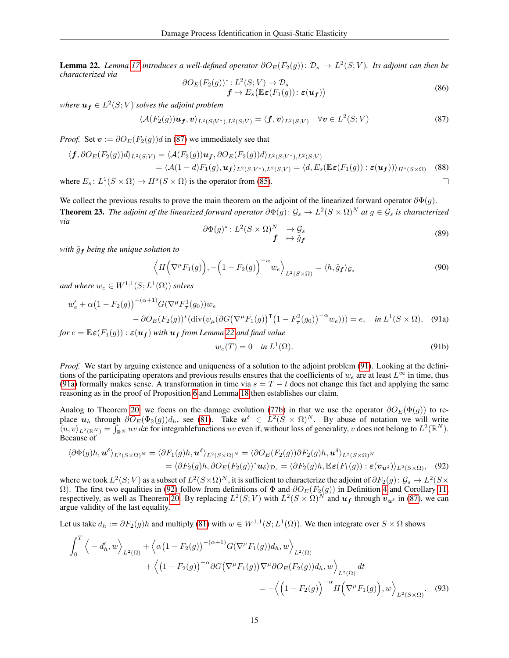**Lemma 22.** *Lemma [17](#page-11-0) introduces a well-defined operator*  $\partial O_E(F_2(g))$ :  $\mathcal{D}_s \to L^2(S; V)$ *. Its adjoint can then be characterized via*

<span id="page-14-1"></span>
$$
\frac{\partial O_E(F_2(g))^*}{\mathbf{f} \mapsto E_s\big(\mathbb{E}\epsilon(F_1(g))\colon \epsilon(\mathbf{u_f})\big)}\tag{86}
$$

where  $u_f \in L^2(S; V)$  solves the adjoint problem

$$
\langle \mathcal{A}(F_2(g))\boldsymbol{u_f}, \boldsymbol{v} \rangle_{L^2(S;V^*), L^2(S;V)} = \langle \boldsymbol{f}, \boldsymbol{v} \rangle_{L^2(S;V)} \quad \forall \boldsymbol{v} \in L^2(S;V)
$$
\n(87)

*Proof.* Set  $v := \partial O_E(F_2(g))d$  in [\(87\)](#page-14-1) we immediately see that

$$
\langle f, \partial O_E(F_2(g))d\rangle_{L^2(S;V)} = \langle A(F_2(g))\mathbf{u}_f, \partial O_E(F_2(g))d\rangle_{L^2(S;V^*), L^2(S;V)}
$$
  
\n
$$
= \langle A(1-d)F_1(g), \mathbf{u}_f \rangle_{L^2(S;V^*), L^2(S;V)} = \langle d, E_s(\mathbb{E}\varepsilon(F_1(g)) : \varepsilon(\mathbf{u}_f)) \rangle_{H^s(S \times \Omega)} \quad (88)
$$
  
\nhere  $E_s: L^1(S \times \Omega) \to H^s(S \times \Omega)$  is the operator from (85).

where  $E_s: L^1(S \times \Omega) \to H^s(S \times \Omega)$  is the operator from [\(85\)](#page-13-2).

<span id="page-14-0"></span>We collect the previous results to prove the main theorem on the adjoint of the linearized forward operator  $\partial \Phi(g)$ . **Theorem 23.** The adjoint of the linearized forward operator  $\partial \Phi(g)$ :  $\mathcal{G}_s \to L^2(S \times \Omega)^N$  at  $g \in \mathcal{G}_s$  is characterized *via*

$$
\frac{\partial \Phi(g)^{*} : L^{2}(S \times \Omega)^{N}}{\mathbf{f}} \xrightarrow{\rightarrow} \mathcal{G}_{s} \tag{89}
$$

*with*  $\tilde{q}_f$  *being the unique solution to* 

<span id="page-14-2"></span>
$$
\left\langle H\Big(\nabla^{\mu}F_1(g)\Big), -\Big(1-F_2(g)\Big)^{-\alpha}w_e\right\rangle_{L^2(S\times\Omega)} = \langle h, \tilde{g}_f\rangle_{\mathcal{G}_s}
$$
\n(90)

and where  $w_e \in W^{1,1}(S;L^1(\Omega))$  solves

$$
w'_e + \alpha \left(1 - F_2(g)\right)^{-(\alpha+1)} G(\nabla^\mu F_\tau^1(g_0)) w_e
$$
  
-  $\partial O_E(F_2(g))^* (\text{div}(\psi_\mu(\partial G(\nabla^\mu F_1(g)))^\top (1 - F_\tau^2(g_0)))^{-\alpha} w_e))) = e, \text{ in } L^1(S \times \Omega),$  (91a)

*for*  $e = \mathbb{E} \varepsilon(F_1(q)) : \varepsilon(u_f)$  *with*  $u_f$  *from Lemma* [22](#page-13-1) *and final value* 

<span id="page-14-4"></span><span id="page-14-3"></span>
$$
w_e(T) = 0 \quad \text{in } L^1(\Omega). \tag{91b}
$$

*Proof.* We start by arguing existence and uniqueness of a solution to the adjoint problem [\(91\)](#page-14-2). Looking at the definitions of the participating operators and previous results ensures that the coefficients of  $w_e$  are at least  $L^{\infty}$  in time, thus [\(91a\)](#page-4-6) formally makes sense. A transformation in time via  $s = T - t$  does not change this fact and applying the same reasoning as in the proof of Proposition [6](#page-4-2) and Lemma [18](#page-11-1) then establishes our claim.

Analog to Theorem [20,](#page-12-0) we focus on the damage evolution [\(77b\)](#page-4-7) in that we use the operator  $\partial O_E(\Phi(g))$  to replace  $u_h$  through  $\partial O_E(\Phi_2(g))d_h$ , see [\(81\)](#page-13-0). Take  $u^{\delta} \in L^2(S \times \Omega)^N$ . By abuse of notation we will write  $\mathcal{H}(u, v)_{L^2(\mathbb{R}^N)} = \mathcal{H}_{\mathbb{R}^N}$  we denote it is even if, without loss of generality, v does not belong to  $L^2(\mathbb{R}^N)$ . Because of

$$
\langle \partial \Phi(g)h, \mathbf{u}^{\delta} \rangle_{L^{2}(S \times \Omega)^{N}} = \langle \partial F_{1}(g)h, \mathbf{u}^{\delta} \rangle_{L^{2}(S \times \Omega)^{N}} = \langle \partial O_{E}(F_{2}(g))\partial F_{2}(g)h, \mathbf{u}^{\delta} \rangle_{L^{2}(S \times \Omega)^{N}}
$$
  
= 
$$
\langle \partial F_{2}(g)h, \partial O_{E}(F_{2}(g))^{*} \mathbf{u}_{\delta} \rangle_{\mathcal{D}_{s}} = \langle \partial F_{2}(g)h, \mathbb{E} \epsilon(F_{1}(g)) : \epsilon(\mathbf{v}_{\mathbf{u}^{\delta}}) \rangle_{L^{2}(S \times \Omega)}, \quad (92)
$$

where we took  $L^2(S; V)$  as a subset of  $L^2(S \times \Omega)^N$ , it is sufficient to characterize the adjoint of  $\partial F_2(g)$ :  $\mathcal{G}_s \to L^2(S \times \Omega)^N$ Ω). The first two equalities in [\(92\)](#page-14-3) follow from definitions of  $\Phi$  and  $\partial O_E(F_2(g))$  in Definition [4](#page-3-0) and Corollary [11,](#page-7-2) respectively, as well as Theorem [20.](#page-12-0) By replacing  $L^2(S; V)$  with  $L^2(S \times \Omega)^N$  and  $u_f$  through  $v_{u^{\delta}}$  in [\(87\)](#page-14-1), we can argue validity of the last equality.

Let us take  $d_h := \partial F_2(g)h$  and multiply [\(81\)](#page-13-0) with  $w \in W^{1,1}(S; L^1(\Omega))$ . We then integrate over  $S \times \Omega$  shows

$$
\int_0^T \left\langle -d'_h, w \right\rangle_{L^2(\Omega)} + \left\langle \alpha (1 - F_2(g))^{-(\alpha+1)} G(\nabla^\mu F_1(g)) d_h, w \right\rangle_{L^2(\Omega)} \n+ \left\langle (1 - F_2(g))^{-(\alpha+1)} G(\nabla^\mu F_1(g)) \nabla^\mu \partial O_E(F_2(g)) d_h, w \right\rangle_{L^2(\Omega)} dt \n= - \left\langle \left( 1 - F_2(g) \right)^{-\alpha} H\left(\nabla^\mu F_1(g)\right), w \right\rangle_{L^2(S \times \Omega)}.
$$
\n(93)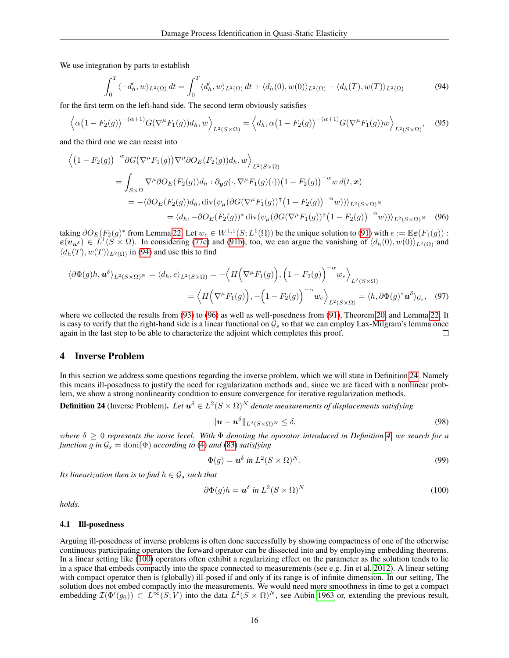We use integration by parts to establish

<span id="page-15-2"></span>
$$
\int_0^T \langle -d'_h, w \rangle_{L^2(\Omega)} dt = \int_0^T \langle d'_h, w \rangle_{L^2(\Omega)} dt + \langle d_h(0), w(0) \rangle_{L^2(\Omega)} - \langle d_h(T), w(T) \rangle_{L^2(\Omega)} \tag{94}
$$

for the first term on the left-hand side. The second term obviously satisfies

$$
\left\langle \alpha \left(1 - F_2(g)\right)^{-(\alpha+1)} G(\nabla^\mu F_1(g)) d_h, w \right\rangle_{L^2(S \times \Omega)} = \left\langle d_h, \alpha \left(1 - F_2(g)\right)^{-(\alpha+1)} G(\nabla^\mu F_1(g)) w \right\rangle_{L^2(S \times \Omega)}, \quad (95)
$$

and the third one we can recast into

$$
\langle (1 - F_2(g))^{-\alpha} \partial G(\nabla^{\mu} F_1(g)) \nabla^{\mu} \partial O_E(F_2(g)) d_h, w \rangle_{L^2(S \times \Omega)}
$$
  
= 
$$
\int_{S \times \Omega} \nabla^{\mu} \partial O_E(F_2(g)) d_h : \partial_{\mathbf{y}} g(\cdot, \nabla^{\mu} F_1(g)(\cdot)) (1 - F_2(g))^{-\alpha} w d(t, \mathbf{x})
$$
  
= 
$$
-\langle \partial O_E(F_2(g)) d_h, \operatorname{div}(\psi_{\mu} (\partial G(\nabla^{\mu} F_1(g)) \cdot (1 - F_2(g))^{-\alpha} w)) \rangle_{L^2(S \times \Omega)^N}
$$
  
= 
$$
\langle d_h, -\partial O_E(F_2(g))^* \operatorname{div}(\psi_{\mu} (\partial G(\nabla^{\mu} F_1(g)) \cdot (1 - F_2(g))^{-\alpha} w)) \rangle_{L^2(S \times \Omega)^N}
$$
(96)

taking  $\partial O_E(F_2(g)^*$  from Lemma [22.](#page-13-1) Let  $w_e \in W^{1,1}(S; L^1(\Omega))$  be the unique solution to [\(91\)](#page-14-2) with  $e := \mathbb{E} \varepsilon(F_1(g))$ :  $\varepsilon(\mathbf{v}_{\mathbf{u}^{\delta}}) \in L^1(S \times \Omega)$ . In considering [\(77c\)](#page-12-5) and [\(91b\)](#page-4-7), too, we can argue the vanishing of  $\langle d_h(0), w(0) \rangle_{L^2(\Omega)}$  and  $\langle d_h(T), w(T) \rangle_{L^2(\Omega)}$  in [\(94\)](#page-15-2) and use this to find

$$
\langle \partial \Phi(g)h, \mathbf{u}^{\delta} \rangle_{L^{2}(S \times \Omega)^{N}} = \langle d_{h}, e \rangle_{L^{2}(S \times \Omega)} = -\langle H(\nabla^{\mu} F_{1}(g)), (1 - F_{2}(g))^{-\alpha} w_{e} \rangle_{L^{2}(S \times \Omega)}
$$
  
=  $\langle H(\nabla^{\mu} F_{1}(g)), -(1 - F_{2}(g))^{-\alpha} w_{e} \rangle_{L^{2}(S \times \Omega)} = \langle h, \partial \Phi(g)^{*} \mathbf{u}^{\delta} \rangle_{\mathcal{G}_{s}}, (97)$ 

where we collected the results from [\(93\)](#page-14-4) to [\(96\)](#page-15-3) as well as well-posedness from [\(91\)](#page-14-2), Theorem [20,](#page-12-0) and Lemma [22.](#page-13-1) It is easy to verify that the right-hand side is a linear functional on  $\mathcal{G}_s$  so that we can employ Lax-Milgram's lemma once<br>again in the last step to be able to characterize the adioint which completes this proof. again in the last step to be able to characterize the adjoint which completes this proof.

## <span id="page-15-0"></span>4 Inverse Problem

In this section we address some questions regarding the inverse problem, which we will state in Definition [24.](#page-15-4) Namely this means ill-posedness to justify the need for regularization methods and, since we are faced with a nonlinear problem, we show a strong nonlinearity condition to ensure convergence for iterative regularization methods.

<span id="page-15-4"></span>**Definition 24** (Inverse Problem). Let  $u^{\delta} \in L^2(S \times \Omega)^N$  denote measurements of displacements satisfying

<span id="page-15-6"></span><span id="page-15-3"></span>
$$
\|\boldsymbol{u}-\boldsymbol{u}^{\delta}\|_{L^2(S\times\Omega)^N}\leq \delta,\tag{98}
$$

*where* δ ≥ 0 *represents the noise level. With* Φ *denoting the operator introduced in Definition [4,](#page-3-0) we search for a function* g in  $\mathcal{G}_s = \text{dom}(\Phi)$  *according to* [\(4\)](#page-2-1) *and* [\(83\)](#page-13-3) *satisfying* 

<span id="page-15-5"></span>
$$
\Phi(g) = \mathbf{u}^{\delta} \text{ in } L^2(S \times \Omega)^N. \tag{99}
$$

*Its linearization then is to find*  $h \in \mathcal{G}_s$  *such that* 

$$
\partial \Phi(g)h = \mathbf{u}^{\delta} \text{ in } L^2(S \times \Omega)^N \tag{100}
$$

*holds.*

#### <span id="page-15-1"></span>4.1 Ill-posedness

Arguing ill-posedness of inverse problems is often done successfully by showing compactness of one of the otherwise continuous participating operators the forward operator can be dissected into and by employing embedding theorems. In a linear setting like [\(100\)](#page-15-5) operators often exhibit a regularizing effect on the parameter as the solution tends to lie in a space that embeds compactly into the space connected to measurements (see e.g. Jin et al. [2012\)](#page-18-21). A linear setting with compact operator then is (globally) ill-posed if and only if its range is of infinite dimension. In our setting, The solution does not embed compactly into the measurements. We would need more smoothness in time to get a compact embedding  $\mathcal{I}(\Phi'(g_0)) \subset L^{\infty}(S; V)$  into the data  $L^2(S \times \Omega)^N$ , see Aubin [1963](#page-18-22) or, extending the previous result,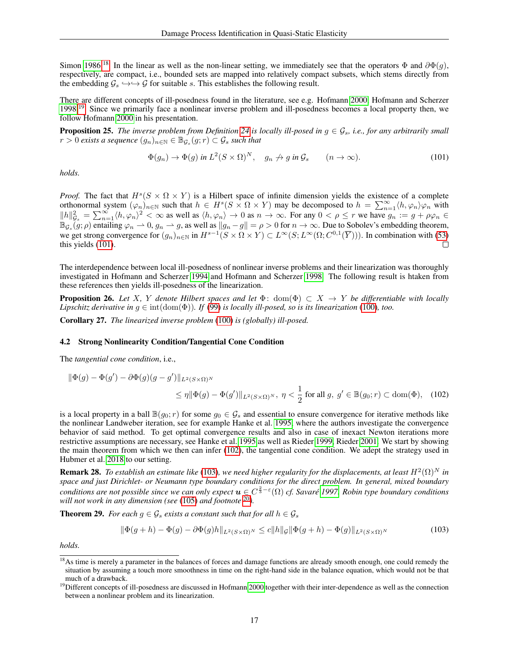Simon [1986.](#page-19-24)<sup>[18](#page-0-0)</sup> In the linear as well as the non-linear setting, we immediately see that the operators  $\Phi$  and  $\partial \Phi(q)$ , respectively, are compact, i.e., bounded sets are mapped into relatively compact subsets, which stems directly from the embedding  $G_s \hookrightarrow \rightarrow G$  for suitable s. This establishes the following result.

There are different concepts of ill-posedness found in the literature, see e.g. Hofmann [2000,](#page-18-23) Hofmann and Scherzer [1998.](#page-18-24)<sup>[19](#page-0-0)</sup> Since we primarily face a nonlinear inverse problem and ill-posedness becomes a local property then, we follow Hofmann [2000](#page-18-23) in his presentation.

**Proposition 25.** The inverse problem from Definition [24](#page-15-4) is locally ill-posed in  $g \in \mathcal{G}_s$ , i.e., for any arbitrarily small  $r > 0$  exists a sequence  $(g_n)_{n \in \mathbb{N}} \in \mathbb{B}_{\mathcal{G}_s}(g; r) \subset \mathcal{G}_s$  such that

<span id="page-16-1"></span>
$$
\Phi(g_n) \to \Phi(g) \text{ in } L^2(S \times \Omega)^N, \quad g_n \nrightarrow g \text{ in } \mathcal{G}_s \qquad (n \to \infty).
$$
 (101)

*holds.*

*Proof.* The fact that  $H^s(S \times \Omega \times Y)$  is a Hilbert space of infinite dimension yields the existence of a complete orthonormal system  $(\varphi_n)_{n\in\mathbb{N}}$  such that  $h \in H^s(S \times \Omega \times Y)$  may be decomposed to  $h = \sum_{n=1}^{\infty} \langle h, \varphi_n \rangle \varphi_n$  with  $||h||_{\mathcal{G}_s}^2 = \sum_{n=1}^{\infty} \langle h, \varphi_n \rangle^2 < \infty$  as well as  $\langle h, \varphi_n \rangle \to 0$  as  $n \to \infty$ . For any  $0 < \rho \le r$  we have  $g_n := g + \rho \varphi_n \in$  $\mathbb{B}_{\mathcal{G}_s}(g;\rho)$  entailing  $\varphi_n \rightharpoonup 0$ ,  $g_n \rightharpoonup g$ , as well as  $||g_n - g|| = \rho > 0$  for  $n \to \infty$ . Due to Sobolev's embedding theorem, we get strong convergence for  $(g_n)_{n \in \mathbb{N}}$  in  $H^{s-1}(S \times \Omega \times Y) \subset L^{\infty}(S; L^{\infty}(\Omega; C^{0,1}(\overline{Y})))$ . In combination with [\(53\)](#page-10-3) this yields [\(101\)](#page-16-1).

The interdependence between local ill-posedness of nonlinear inverse problems and their linearization was thoroughly investigated in Hofmann and Scherzer [1994](#page-18-25) and Hofmann and Scherzer [1998.](#page-18-24) The following result is htaken from these references then yields ill-posedness of the linearization.

**Proposition 26.** *Let* X, Y denote Hilbert spaces and let  $\Phi$ : dom( $\Phi$ )  $\subset X \to Y$  be differentiable with locally *Lipschitz derivative in*  $g \in \text{int}(\text{dom}(\Phi))$ *. If* [\(99\)](#page-15-6) *is locally ill-posed, so is its linearization* [\(100\)](#page-15-5)*, too.* 

Corollary 27. *The linearized inverse problem* [\(100\)](#page-15-5) *is (globally) ill-posed.*

#### <span id="page-16-0"></span>4.2 Strong Nonlinearity Condition/Tangential Cone Condition

The *tangential cone condition*, i.e.,

$$
\begin{aligned} \|\Phi(g) - \Phi(g') - \partial \Phi(g)(g - g')\|_{L^2(S \times \Omega)^N} \\ &\le \eta \|\Phi(g) - \Phi(g')\|_{L^2(S \times \Omega)^N}, \ \eta < \frac{1}{2} \text{ for all } g, \ g' \in \mathbb{B}(g_0; r) \subset \text{dom}(\Phi), \end{aligned} \tag{102}
$$

is a local property in a ball  $\mathbb{B}(g_0; r)$  for some  $g_0 \in \mathcal{G}_s$  and essential to ensure convergence for iterative methods like the nonlinear Landweber iteration, see for example Hanke et al. [1995,](#page-18-9) where the authors investigate the convergence behavior of said method. To get optimal convergence results and also in case of inexact Newton iterations more restrictive assumptions are necessary, see Hanke et al. [1995](#page-18-9) as well as Rieder [1999,](#page-19-10) Rieder [2001.](#page-19-11) We start by showing the main theorem from which we then can infer [\(102\)](#page-16-2), the tangential cone condition. We adept the strategy used in Hubmer et al. [2018](#page-18-19) to our setting.

**Remark 28.** To establish an estimate like [\(103\)](#page-16-3), we need higher regularity for the displacements, at least  $H^2(\Omega)^N$  in *space and just Dirichlet- or Neumann type boundary conditions for the direct problem. In general, mixed boundary conditions are not possible since we can only expect*  $u \in C^{\frac{2}{3} - \varepsilon}(\Omega)$  *cf. Savaré* [1997.](#page-19-13) Robin type boundary conditions *will not work in any dimension (see* [\(105\)](#page-17-0) *and footnote* [20](#page-0-0)*).*

**Theorem 29.** *For each*  $g \in \mathcal{G}_s$  *exists a constant such that for all*  $h \in \mathcal{G}_s$ 

<span id="page-16-3"></span><span id="page-16-2"></span>
$$
\|\Phi(g+h) - \Phi(g) - \partial \Phi(g)h\|_{L^2(S\times\Omega)^N} \le c\|h\|_{\mathcal{G}}\|\Phi(g+h) - \Phi(g)\|_{L^2(S\times\Omega)^N}
$$
(103)

*holds.*

<sup>&</sup>lt;sup>18</sup>As time is merely a parameter in the balances of forces and damage functions are already smooth enough, one could remedy the situation by assuming a touch more smoothness in time on the right-hand side in the balance equation, which would not be that much of a drawback.

<sup>&</sup>lt;sup>19</sup>Different concepts of ill-posedness are discussed in Hofmann [2000](#page-18-23) together with their inter-dependence as well as the connection between a nonlinear problem and its linearization.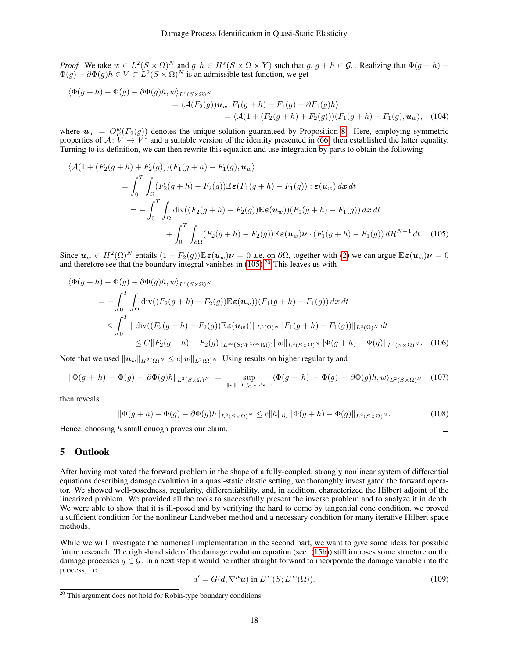*Proof.* We take  $w \in L^2(S \times \Omega)^N$  and  $g, h \in H^s(S \times \Omega \times Y)$  such that  $g, g + h \in \mathcal{G}_s$ . Realizing that  $\Phi(g + h)$  –  $\Phi(g) - \partial \Phi(g)h \in V \subset L^2(S \times \Omega)^N$  is an admissible test function, we get

$$
\langle \Phi(g+h) - \Phi(g) - \partial \Phi(g)h, w \rangle_{L^2(S \times \Omega)^N} \n= \langle \mathcal{A}(F_2(g))\mathbf{u}_w, F_1(g+h) - F_1(g) - \partial F_1(g)h \rangle \n= \langle \mathcal{A}(1 + (F_2(g+h) + F_2(g)))(F_1(g+h) - F_1(g), \mathbf{u}_w \rangle, \quad (104)
$$

where  $u_w = O_E^w(F_2(g))$  denotes the unique solution guaranteed by Proposition [8.](#page-6-0) Here, employing symmetric properties of  $A: V \to V^*$  and a suitable version of the identity presented in [\(66\)](#page-11-7) then established the latter equality. Turning to its definition, we can then rewrite this equation and use integration by parts to obtain the following

$$
\langle \mathcal{A}(1+(F_2(g+h)+F_2(g)))(F_1(g+h)-F_1(g), \mathbf{u}_w) \rangle
$$
  
= 
$$
\int_0^T \int_{\Omega} (F_2(g+h)-F_2(g)) \mathbb{E} \varepsilon (F_1(g+h)-F_1(g)) : \varepsilon(\mathbf{u}_w) dx dt
$$
  
= 
$$
-\int_0^T \int_{\Omega} \text{div}((F_2(g+h)-F_2(g)) \mathbb{E} \varepsilon(\mathbf{u}_w)) (F_1(g+h)-F_1(g)) dx dt
$$
  
+ 
$$
\int_0^T \int_{\partial \Omega} (F_2(g+h)-F_2(g)) \mathbb{E} \varepsilon(\mathbf{u}_w) \nu \cdot (F_1(g+h)-F_1(g)) d\mathcal{H}^{N-1} dt. \quad (105)
$$

Since  $u_w \in H^2(\Omega)^N$  entails  $(1 - F_2(g)) \mathbb{E} \varepsilon(u_w)\nu = 0$  a.e. on  $\partial \Omega$ , together with [\(2\)](#page-1-1) we can argue  $\mathbb{E} \varepsilon(u_w)\nu = 0$  and therefore see that the boundary integral vanishes in [\(105\)](#page-17-0).<sup>[20](#page-0-0)</sup> This leaves us with

$$
\langle \Phi(g+h) - \Phi(g) - \partial \Phi(g)h, w \rangle_{L^2(S \times \Omega)^N}
$$
  
= 
$$
- \int_0^T \int_{\Omega} \text{div}((F_2(g+h) - F_2(g)) \mathbb{E} \varepsilon(\mathbf{u}_w)) (F_1(g+h) - F_1(g)) \, dx \, dt
$$
  

$$
\leq \int_0^T \|\text{div}((F_2(g+h) - F_2(g)) \mathbb{E} \varepsilon(\mathbf{u}_w))\|_{L^2(\Omega)^N} \|F_1(g+h) - F_1(g))\|_{L^2(\Omega)^N} dt
$$
  

$$
\leq C \|F_2(g+h) - F_2(g)\|_{L^\infty(S;W^{1,\infty}(\Omega))} \|w\|_{L^2(S \times \Omega)^N} \|\Phi(g+h) - \Phi(g)\|_{L^2(S \times \Omega)^N}.
$$
 (106)

Note that we used  $||u_w||_{H^2(\Omega)^N} \le c||w||_{L^2(\Omega)^N}$ . Using results on higher regularity and

$$
\|\Phi(g+h)-\Phi(g)-\partial\Phi(g)h\|_{L^2(S\times\Omega)^N}=\sup_{\|w\|=1,\int_{\Omega}w\,d\mathbf{x}=0}\langle\Phi(g+h)-\Phi(g)-\partial\Phi(g)h,w\rangle_{L^2(S\times\Omega)^N} \quad (107)
$$

then reveals

$$
\|\Phi(g+h) - \Phi(g) - \partial \Phi(g)h\|_{L^2(S\times\Omega)^N} \le c\|h\|_{\mathcal{G}_s} \|\Phi(g+h) - \Phi(g)\|_{L^2(S\times\Omega)^N}.
$$
\n(108)

Hence, choosing  $h$  small enuogh proves our claim.

## 5 Outlook

After having motivated the forward problem in the shape of a fully-coupled, strongly nonlinear system of differential equations describing damage evolution in a quasi-static elastic setting, we thoroughly investigated the forward operator. We showed well-posedness, regularity, differentiability, and, in addition, characterized the Hilbert adjoint of the linearized problem. We provided all the tools to successfully present the inverse problem and to analyze it in depth. We were able to show that it is ill-posed and by verifying the hard to come by tangential cone condition, we proved a sufficient condition for the nonlinear Landweber method and a necessary condition for many iterative Hilbert space methods.

While we will investigate the numerical implementation in the second part, we want to give some ideas for possible future research. The right-hand side of the damage evolution equation (see. [\(15b\)](#page-1-1)) still imposes some structure on the damage processes  $g \in \mathcal{G}$ . In a next step it would be rather straight forward to incorporate the damage variable into the process, i.e.,

$$
d' = G(d, \nabla^{\mu} \mathbf{u}) \text{ in } L^{\infty}(S; L^{\infty}(\Omega)).
$$
\n(109)

<span id="page-17-0"></span> $\Box$ 

<sup>&</sup>lt;sup>20</sup> This argument does not hold for Robin-type boundary conditions.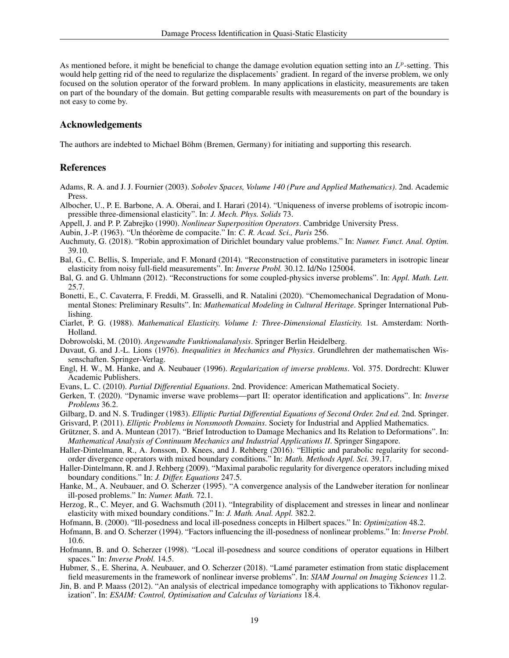As mentioned before, it might be beneficial to change the damage evolution equation setting into an  $L^p$ -setting. This would help getting rid of the need to regularize the displacements' gradient. In regard of the inverse problem, we only focused on the solution operator of the forward problem. In many applications in elasticity, measurements are taken on part of the boundary of the domain. But getting comparable results with measurements on part of the boundary is not easy to come by.

## Acknowledgements

The authors are indebted to Michael Böhm (Bremen, Germany) for initiating and supporting this research.

## References

- <span id="page-18-20"></span>Adams, R. A. and J. J. Fournier (2003). *Sobolev Spaces, Volume 140 (Pure and Applied Mathematics)*. 2nd. Academic Press.
- <span id="page-18-3"></span>Albocher, U., P. E. Barbone, A. A. Oberai, and I. Harari (2014). "Uniqueness of inverse problems of isotropic incompressible three-dimensional elasticity". In: *J. Mech. Phys. Solids* 73.
- <span id="page-18-11"></span>Appell, J. and P. P. Zabrejko (1990). *Nonlinear Superposition Operators*. Cambridge University Press.
- <span id="page-18-22"></span>Aubin, J.-P. (1963). "Un théorème de compacite." In: *C. R. Acad. Sci., Paris* 256.
- <span id="page-18-10"></span>Auchmuty, G. (2018). "Robin approximation of Dirichlet boundary value problems." In: *Numer. Funct. Anal. Optim.* 39.10.
- <span id="page-18-1"></span>Bal, G., C. Bellis, S. Imperiale, and F. Monard (2014). "Reconstruction of constitutive parameters in isotropic linear elasticity from noisy full-field measurements". In: *Inverse Probl.* 30.12. Id/No 125004.
- <span id="page-18-2"></span>Bal, G. and G. Uhlmann (2012). "Reconstructions for some coupled-physics inverse problems". In: *Appl. Math. Lett.* 25.7.
- <span id="page-18-8"></span>Bonetti, E., C. Cavaterra, F. Freddi, M. Grasselli, and R. Natalini (2020). "Chemomechanical Degradation of Monumental Stones: Preliminary Results". In: *Mathematical Modeling in Cultural Heritage*. Springer International Publishing.
- <span id="page-18-6"></span>Ciarlet, P. G. (1988). *Mathematical Elasticity. Volume I: Three-Dimensional Elasticity.* 1st. Amsterdam: North-Holland.
- <span id="page-18-14"></span>Dobrowolski, M. (2010). *Angewandte Funktionalanalysis*. Springer Berlin Heidelberg.
- <span id="page-18-7"></span>Duvaut, G. and J.-L. Lions (1976). *Inequalities in Mechanics and Physics*. Grundlehren der mathematischen Wissenschaften. Springer-Verlag.
- <span id="page-18-0"></span>Engl, H. W., M. Hanke, and A. Neubauer (1996). *Regularization of inverse problems*. Vol. 375. Dordrecht: Kluwer Academic Publishers.
- <span id="page-18-12"></span>Evans, L. C. (2010). *Partial Differential Equations*. 2nd. Providence: American Mathematical Society.
- <span id="page-18-4"></span>Gerken, T. (2020). "Dynamic inverse wave problems—part II: operator identification and applications". In: *Inverse Problems* 36.2.
- <span id="page-18-13"></span>Gilbarg, D. and N. S. Trudinger (1983). *Elliptic Partial Differential Equations of Second Order. 2nd ed.* 2nd. Springer.
- <span id="page-18-18"></span>Grisvard, P. (2011). *Elliptic Problems in Nonsmooth Domains*. Society for Industrial and Applied Mathematics.
- <span id="page-18-5"></span>Grützner, S. and A. Muntean (2017). "Brief Introduction to Damage Mechanics and Its Relation to Deformations". In: *Mathematical Analysis of Continuum Mechanics and Industrial Applications II*. Springer Singapore.
- <span id="page-18-16"></span>Haller-Dintelmann, R., A. Jonsson, D. Knees, and J. Rehberg (2016). "Elliptic and parabolic regularity for secondorder divergence operators with mixed boundary conditions." In: *Math. Methods Appl. Sci.* 39.17.
- <span id="page-18-15"></span>Haller-Dintelmann, R. and J. Rehberg (2009). "Maximal parabolic regularity for divergence operators including mixed boundary conditions." In: *J. Differ. Equations* 247.5.
- <span id="page-18-9"></span>Hanke, M., A. Neubauer, and O. Scherzer (1995). "A convergence analysis of the Landweber iteration for nonlinear ill-posed problems." In: *Numer. Math.* 72.1.
- <span id="page-18-17"></span>Herzog, R., C. Meyer, and G. Wachsmuth (2011). "Integrability of displacement and stresses in linear and nonlinear elasticity with mixed boundary conditions." In: *J. Math. Anal. Appl.* 382.2.
- <span id="page-18-23"></span>Hofmann, B. (2000). "Ill-posedness and local ill-posedness concepts in Hilbert spaces." In: *Optimization* 48.2.
- <span id="page-18-25"></span>Hofmann, B. and O. Scherzer (1994). "Factors influencing the ill-posedness of nonlinear problems." In: *Inverse Probl.* 10.6.
- <span id="page-18-24"></span>Hofmann, B. and O. Scherzer (1998). "Local ill-posedness and source conditions of operator equations in Hilbert spaces." In: *Inverse Probl.* 14.5.
- <span id="page-18-19"></span>Hubmer, S., E. Sherina, A. Neubauer, and O. Scherzer (2018). "Lamé parameter estimation from static displacement field measurements in the framework of nonlinear inverse problems". In: *SIAM Journal on Imaging Sciences* 11.2.
- <span id="page-18-21"></span>Jin, B. and P. Maass (2012). "An analysis of electrical impedance tomography with applications to Tikhonov regularization". In: *ESAIM: Control, Optimisation and Calculus of Variations* 18.4.